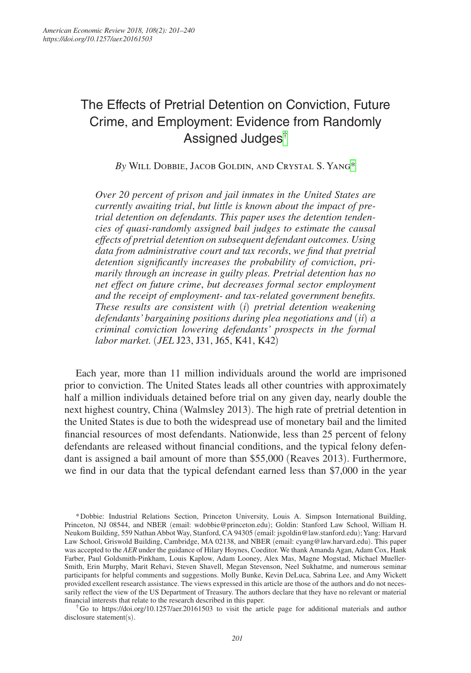# The Effects of Pretrial Detention on Conviction, Future Crime, and Employment: Evidence from Randomly Assigned Judges[†](#page-0-0)

*By* Will Dobbie, Jacob Goldin, and Crystal S. Yan[g\\*](#page-0-1)

*Over 20 percent of prison and jail inmates in the United States are currently awaiting trial*, *but little is known about the impact of pretrial detention on defendants. This paper uses the detention tendencies of quasi-randomly assigned bail judges to estimate the causal effects of pretrial detention on subsequent defendant outcomes. Using data from administrative court and tax records*, *we find that pretrial detention significantly increases the probability of conviction*, *primarily through an increase in guilty pleas. Pretrial detention has no net effect on future crime*, *but decreases formal sector employment and the receipt of employment- and tax-related government benefits. These results are consistent with* (*i*) *pretrial detention weakening defendants' bargaining positions during plea negotiations and* (*ii*) *a criminal conviction lowering defendants' prospects in the formal labor market.* (*JEL* J23, J31, J65, K41, K42)

Each year, more than 11 million individuals around the world are imprisoned prior to conviction. The United States leads all other countries with approximately half a million individuals detained before trial on any given day, nearly double the next highest country, China (Walmsley 2013). The high rate of pretrial detention in the United States is due to both the widespread use of monetary bail and the limited financial resources of most defendants. Nationwide, less than 25 percent of felony defendants are released without financial conditions, and the typical felony defendant is assigned a bail amount of more than \$55,000 (Reaves 2013). Furthermore, we find in our data that the typical defendant earned less than \$7,000 in the year

<span id="page-0-0"></span>†Go to <https://doi.org/10.1257/aer.20161503>to visit the article page for additional materials and author disclosure statement(s).

<span id="page-0-1"></span><sup>\*</sup>Dobbie: Industrial Relations Section, Princeton University, Louis A. Simpson International Building, Princeton, NJ 08544, and NBER (email: [wdobbie@princeton.edu](mailto:wdobbie@princeton.edu)); Goldin: Stanford Law School, William H. Neukom Building, 559 Nathan Abbot Way, Stanford, CA 94305 (email: [jsgoldin@law.stanford.edu](mailto:jsgoldin@law.stanford.edu)); Yang: Harvard Law School, Griswold Building, Cambridge, MA 02138, and NBER (email: [cyang@law.harvard.edu](mailto:cyang@law.harvard.edu)). This paper was accepted to the *AER* under the guidance of Hilary Hoynes, Coeditor. We thank Amanda Agan, Adam Cox, Hank Farber, Paul Goldsmith-Pinkham, Louis Kaplow, Adam Looney, Alex Mas, Magne Mogstad, Michael Mueller-Smith, Erin Murphy, Marit Rehavi, Steven Shavell, Megan Stevenson, Neel Sukhatme, and numerous seminar participants for helpful comments and suggestions. Molly Bunke, Kevin DeLuca, Sabrina Lee, and Amy Wickett provided excellent research assistance. The views expressed in this article are those of the authors and do not necessarily reflect the view of the US Department of Treasury. The authors declare that they have no relevant or material financial interests that relate to the research described in this paper.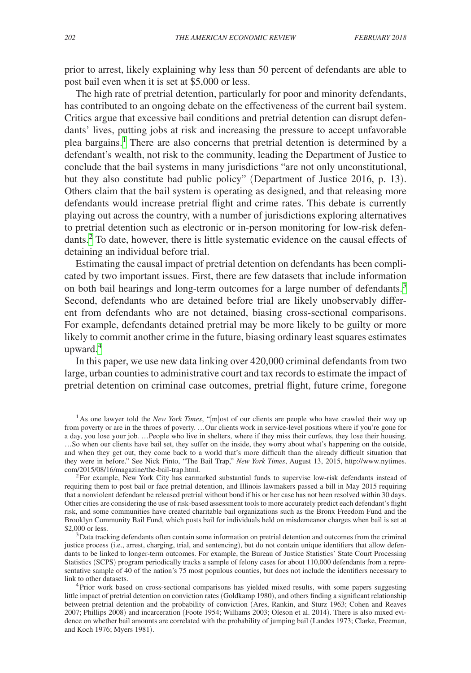prior to arrest, likely explaining why less than 50 percent of defendants are able to post bail even when it is set at \$5,000 or less.

The high rate of pretrial detention, particularly for poor and minority defendants, has contributed to an ongoing debate on the effectiveness of the current bail system. Critics argue that excessive bail conditions and pretrial detention can disrupt defendants' lives, putting jobs at risk and increasing the pressure to accept unfavorable plea bargains.<sup>[1](#page-1-0)</sup> There are also concerns that pretrial detention is determined by a defendant's wealth, not risk to the community, leading the Department of Justice to conclude that the bail systems in many jurisdictions "are not only unconstitutional, but they also constitute bad public policy" (Department of Justice 2016, p. 13). Others claim that the bail system is operating as designed, and that releasing more defendants would increase pretrial flight and crime rates. This debate is currently playing out across the country, with a number of jurisdictions exploring alternatives to pretrial detention such as electronic or in-person monitoring for low-risk defendants.[2](#page-1-1) To date, however, there is little systematic evidence on the causal effects of detaining an individual before trial.

Estimating the causal impact of pretrial detention on defendants has been complicated by two important issues. First, there are few datasets that include information on both bail hearings and long-term outcomes for a large number of defendants.<sup>[3](#page-1-2)</sup> Second, defendants who are detained before trial are likely unobservably different from defendants who are not detained, biasing cross-sectional comparisons. For example, defendants detained pretrial may be more likely to be guilty or more likely to commit another crime in the future, biasing ordinary least squares estimates upward.[4](#page-1-3)

In this paper, we use new data linking over 420,000 criminal defendants from two large, urban counties to administrative court and tax records to estimate the impact of pretrial detention on criminal case outcomes, pretrial flight, future crime, foregone

<span id="page-1-1"></span> ${}^{2}$  For example, New York City has earmarked substantial funds to supervise low-risk defendants instead of requiring them to post bail or face pretrial detention, and Illinois lawmakers passed a bill in May 2015 requiring that a nonviolent defendant be released pretrial without bond if his or her case has not been resolved within 30 days. Other cities are considering the use of risk-based assessment tools to more accurately predict each defendant's flight risk, and some communities have created charitable bail organizations such as the Bronx Freedom Fund and the Brooklyn Community Bail Fund, which posts bail for individuals held on misdemeanor charges when bail is set at \$2,000 or less.

<span id="page-1-2"></span><sup>3</sup>Data tracking defendants often contain some information on pretrial detention and outcomes from the criminal justice process (i.e., arrest, charging, trial, and sentencing), but do not contain unique identifiers that allow defendants to be linked to longer-term outcomes. For example, the Bureau of Justice Statistics' State Court Processing Statistics (SCPS) program periodically tracks a sample of felony cases for about 110,000 defendants from a representative sample of 40 of the nation's 75 most populous counties, but does not include the identifiers necessary to link to other datasets.

<span id="page-1-3"></span><sup>4</sup>Prior work based on cross-sectional comparisons has yielded mixed results, with some papers suggesting little impact of pretrial detention on conviction rates (Goldkamp 1980), and others finding a significant relationship between pretrial detention and the probability of conviction (Ares, Rankin, and Sturz 1963; Cohen and Reaves 2007; Phillips 2008) and incarceration (Foote 1954; Williams 2003; Oleson et al. 2014). There is also mixed evidence on whether bail amounts are correlated with the probability of jumping bail (Landes 1973; Clarke, Freeman, and Koch 1976; Myers 1981).

<span id="page-1-0"></span><sup>&</sup>lt;sup>1</sup>As one lawyer told the *New York Times*, "[m]ost of our clients are people who have crawled their way up from poverty or are in the throes of poverty. …Our clients work in service-level positions where if you're gone for a day, you lose your job. …People who live in shelters, where if they miss their curfews, they lose their housing. …So when our clients have bail set, they suffer on the inside, they worry about what's happening on the outside, and when they get out, they come back to a world that's more difficult than the already difficult situation that they were in before." See Nick Pinto, "The Bail Trap," *New York Times*, August 13, 2015, [http://www.nytimes.](http://www.nytimes.com/2015/08/16/magazine/the-bail-trap.html)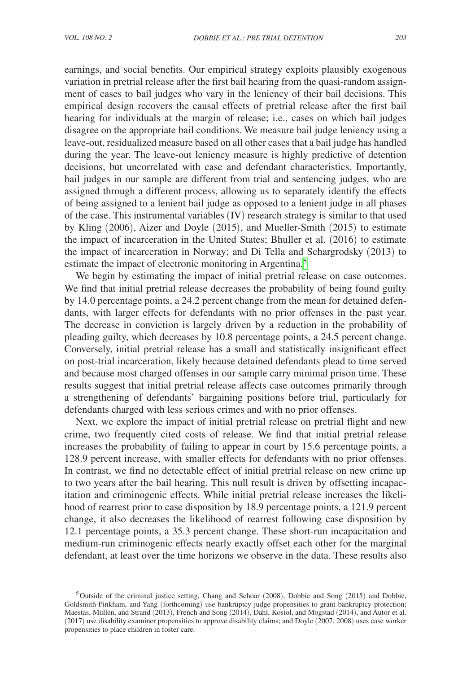earnings, and social benefits. Our empirical strategy exploits plausibly exogenous variation in pretrial release after the first bail hearing from the quasi-random assignment of cases to bail judges who vary in the leniency of their bail decisions. This empirical design recovers the causal effects of pretrial release after the first bail hearing for individuals at the margin of release; i.e., cases on which bail judges disagree on the appropriate bail conditions. We measure bail judge leniency using a leave-out, residualized measure based on all other cases that a bail judge has handled during the year. The leave-out leniency measure is highly predictive of detention decisions, but uncorrelated with case and defendant characteristics. Importantly, bail judges in our sample are different from trial and sentencing judges, who are assigned through a different process, allowing us to separately identify the effects of being assigned to a lenient bail judge as opposed to a lenient judge in all phases of the case. This instrumental variables (IV) research strategy is similar to that used by Kling (2006), Aizer and Doyle (2015), and Mueller-Smith (2015) to estimate the impact of incarceration in the United States; Bhuller et al. (2016) to estimate the impact of incarceration in Norway; and Di Tella and Schargrodsky (2013) to estimate the impact of electronic monitoring in Argentina.<sup>5</sup>

We begin by estimating the impact of initial pretrial release on case outcomes. We find that initial pretrial release decreases the probability of being found guilty by 14.0 percentage points, a 24.2 percent change from the mean for detained defendants, with larger effects for defendants with no prior offenses in the past year. The decrease in conviction is largely driven by a reduction in the probability of pleading guilty, which decreases by 10.8 percentage points, a 24.5 percent change. Conversely, initial pretrial release has a small and statistically insignificant effect on post-trial incarceration, likely because detained defendants plead to time served and because most charged offenses in our sample carry minimal prison time. These results suggest that initial pretrial release affects case outcomes primarily through a strengthening of defendants' bargaining positions before trial, particularly for defendants charged with less serious crimes and with no prior offenses.

Next, we explore the impact of initial pretrial release on pretrial flight and new crime, two frequently cited costs of release. We find that initial pretrial release increases the probability of failing to appear in court by 15.6 percentage points, a 128.9 percent increase, with smaller effects for defendants with no prior offenses. In contrast, we find no detectable effect of initial pretrial release on new crime up to two years after the bail hearing. This null result is driven by offsetting incapacitation and criminogenic effects. While initial pretrial release increases the likelihood of rearrest prior to case disposition by 18.9 percentage points, a 121.9 percent change, it also decreases the likelihood of rearrest following case disposition by 12.1 percentage points, a 35.3 percent change. These short-run incapacitation and medium-run criminogenic effects nearly exactly offset each other for the marginal defendant, at least over the time horizons we observe in the data. These results also

<span id="page-2-0"></span><sup>5</sup>Outside of the criminal justice setting, Chang and Schoar (2008), Dobbie and Song (2015) and Dobbie, Goldsmith-Pinkham, and Yang (forthcoming) use bankruptcy judge propensities to grant bankruptcy protection; Maestas, Mullen, and Strand (2013), French and Song (2014), Dahl, Kostol, and Mogstad (2014), and Autor et al. (2017) use disability examiner propensities to approve disability claims; and Doyle (2007, 2008) uses case worker propensities to place children in foster care.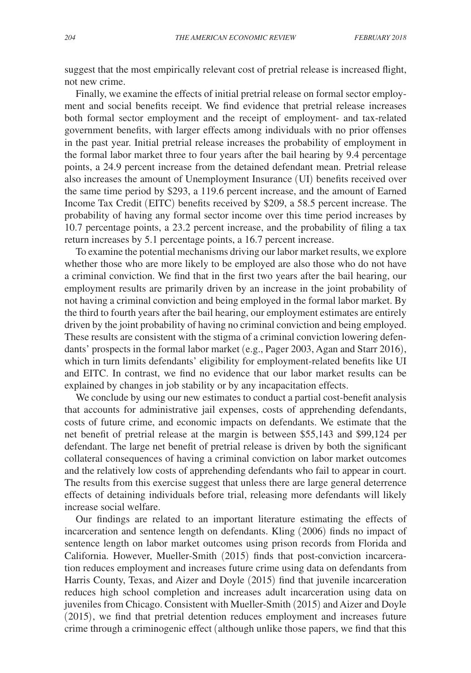suggest that the most empirically relevant cost of pretrial release is increased flight, not new crime.

Finally, we examine the effects of initial pretrial release on formal sector employment and social benefits receipt. We find evidence that pretrial release increases both formal sector employment and the receipt of employment- and tax-related government benefits, with larger effects among individuals with no prior offenses in the past year. Initial pretrial release increases the probability of employment in the formal labor market three to four years after the bail hearing by 9.4 percentage points, a 24.9 percent increase from the detained defendant mean. Pretrial release also increases the amount of Unemployment Insurance (UI) benefits received over the same time period by \$293, a 119.6 percent increase, and the amount of Earned Income Tax Credit (EITC) benefits received by \$209, a 58.5 percent increase. The probability of having any formal sector income over this time period increases by 10.7 percentage points, a 23.2 percent increase, and the probability of filing a tax return increases by 5.1 percentage points, a 16.7 percent increase.

To examine the potential mechanisms driving our labor market results, we explore whether those who are more likely to be employed are also those who do not have a criminal conviction. We find that in the first two years after the bail hearing, our employment results are primarily driven by an increase in the joint probability of not having a criminal conviction and being employed in the formal labor market. By the third to fourth years after the bail hearing, our employment estimates are entirely driven by the joint probability of having no criminal conviction and being employed. These results are consistent with the stigma of a criminal conviction lowering defendants' prospects in the formal labor market (e.g., Pager 2003, Agan and Starr 2016), which in turn limits defendants' eligibility for employment-related benefits like UI and EITC. In contrast, we find no evidence that our labor market results can be explained by changes in job stability or by any incapacitation effects.

We conclude by using our new estimates to conduct a partial cost-benefit analysis that accounts for administrative jail expenses, costs of apprehending defendants, costs of future crime, and economic impacts on defendants. We estimate that the net benefit of pretrial release at the margin is between \$55,143 and \$99,124 per defendant. The large net benefit of pretrial release is driven by both the significant collateral consequences of having a criminal conviction on labor market outcomes and the relatively low costs of apprehending defendants who fail to appear in court. The results from this exercise suggest that unless there are large general deterrence effects of detaining individuals before trial, releasing more defendants will likely increase social welfare.

Our findings are related to an important literature estimating the effects of incarceration and sentence length on defendants. Kling (2006) finds no impact of sentence length on labor market outcomes using prison records from Florida and California. However, Mueller-Smith (2015) finds that post-conviction incarceration reduces employment and increases future crime using data on defendants from Harris County, Texas, and Aizer and Doyle (2015) find that juvenile incarceration reduces high school completion and increases adult incarceration using data on juveniles from Chicago. Consistent with Mueller-Smith (2015) and Aizer and Doyle (2015), we find that pretrial detention reduces employment and increases future crime through a criminogenic effect (although unlike those papers, we find that this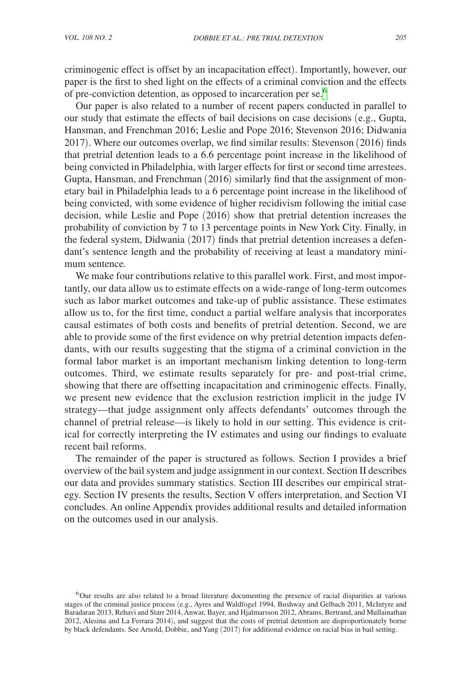criminogenic effect is offset by an incapacitation effect). Importantly, however, our paper is the first to shed light on the effects of a criminal conviction and the effects of pre-conviction detention, as opposed to incarceration per se.<sup>6</sup>

Our paper is also related to a number of recent papers conducted in parallel to our study that estimate the effects of bail decisions on case decisions (e.g., Gupta, Hansman, and Frenchman 2016; Leslie and Pope 2016; Stevenson 2016; Didwania 2017). Where our outcomes overlap, we find similar results: Stevenson (2016) finds that pretrial detention leads to a 6.6 percentage point increase in the likelihood of being convicted in Philadelphia, with larger effects for first or second time arrestees. Gupta, Hansman, and Frenchman (2016) similarly find that the assignment of monetary bail in Philadelphia leads to a 6 percentage point increase in the likelihood of being convicted, with some evidence of higher recidivism following the initial case decision, while Leslie and Pope (2016) show that pretrial detention increases the probability of conviction by 7 to 13 percentage points in New York City. Finally, in the federal system, Didwania (2017) finds that pretrial detention increases a defendant's sentence length and the probability of receiving at least a mandatory minimum sentence.

We make four contributions relative to this parallel work. First, and most importantly, our data allow us to estimate effects on a wide-range of long-term outcomes such as labor market outcomes and take-up of public assistance. These estimates allow us to, for the first time, conduct a partial welfare analysis that incorporates causal estimates of both costs and benefits of pretrial detention. Second, we are able to provide some of the first evidence on why pretrial detention impacts defendants, with our results suggesting that the stigma of a criminal conviction in the formal labor market is an important mechanism linking detention to long-term outcomes. Third, we estimate results separately for pre- and post-trial crime, showing that there are offsetting incapacitation and criminogenic effects. Finally, we present new evidence that the exclusion restriction implicit in the judge IV strategy—that judge assignment only affects defendants' outcomes through the channel of pretrial release—is likely to hold in our setting. This evidence is critical for correctly interpreting the IV estimates and using our findings to evaluate recent bail reforms.

The remainder of the paper is structured as follows. Section I provides a brief overview of the bail system and judge assignment in our context. Section II describes our data and provides summary statistics. Section III describes our empirical strategy. Section IV presents the results, Section V offers interpretation, and Section VI concludes. An online Appendix provides additional results and detailed information on the outcomes used in our analysis.

<span id="page-4-0"></span><sup>6</sup>Our results are also related to a broad literature documenting the presence of racial disparities at various stages of the criminal justice process (e.g., Ayres and Waldfogel 1994, Bushway and Gelbach 2011, McIntyre and Baradaran 2013, Rehavi and Starr 2014, Anwar, Bayer, and Hjalmarsson 2012, Abrams, Bertrand, and Mullainathan 2012, Alesina and La Ferrara 2014), and suggest that the costs of pretrial detention are disproportionately borne by black defendants. See Arnold, Dobbie, and Yang (2017) for additional evidence on racial bias in bail setting.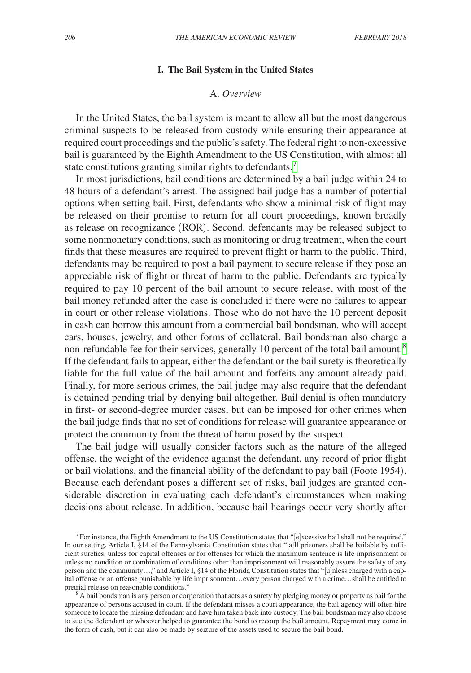#### **I. The Bail System in the United States**

# A. *Overview*

In the United States, the bail system is meant to allow all but the most dangerous criminal suspects to be released from custody while ensuring their appearance at required court proceedings and the public's safety. The federal right to non-excessive bail is guaranteed by the Eighth Amendment to the US Constitution, with almost all state constitutions granting similar rights to defendants.<sup>7</sup>

In most jurisdictions, bail conditions are determined by a bail judge within 24 to 48 hours of a defendant's arrest. The assigned bail judge has a number of potential options when setting bail. First, defendants who show a minimal risk of flight may be released on their promise to return for all court proceedings, known broadly as release on recognizance (ROR). Second, defendants may be released subject to some nonmonetary conditions, such as monitoring or drug treatment, when the court finds that these measures are required to prevent flight or harm to the public. Third, defendants may be required to post a bail payment to secure release if they pose an appreciable risk of flight or threat of harm to the public. Defendants are typically required to pay 10 percent of the bail amount to secure release, with most of the bail money refunded after the case is concluded if there were no failures to appear in court or other release violations. Those who do not have the 10 percent deposit in cash can borrow this amount from a commercial bail bondsman, who will accept cars, houses, jewelry, and other forms of collateral. Bail bondsman also charge a non-refundable fee for their services, generally 10 percent of the total bail amount.<sup>[8](#page-5-1)</sup> If the defendant fails to appear, either the defendant or the bail surety is theoretically liable for the full value of the bail amount and forfeits any amount already paid. Finally, for more serious crimes, the bail judge may also require that the defendant is detained pending trial by denying bail altogether. Bail denial is often mandatory in first- or second-degree murder cases, but can be imposed for other crimes when the bail judge finds that no set of conditions for release will guarantee appearance or protect the community from the threat of harm posed by the suspect.

The bail judge will usually consider factors such as the nature of the alleged offense, the weight of the evidence against the defendant, any record of prior flight or bail violations, and the financial ability of the defendant to pay bail (Foote 1954). Because each defendant poses a different set of risks, bail judges are granted considerable discretion in evaluating each defendant's circumstances when making decisions about release. In addition, because bail hearings occur very shortly after

<span id="page-5-0"></span> $^7$  For instance, the Eighth Amendment to the US Constitution states that "[e]xcessive bail shall not be required." In our setting, Article I, §14 of the Pennsylvania Constitution states that "[a]ll prisoners shall be bailable by sufficient sureties, unless for capital offenses or for offenses for which the maximum sentence is life imprisonment or unless no condition or combination of conditions other than imprisonment will reasonably assure the safety of any person and the community…," and Article I, §14 of the Florida Constitution states that "[u]nless charged with a capital offense or an offense punishable by life imprisonment…every person charged with a crime…shall be entitled to pretrial release on reasonable conditions."<br><sup>8</sup>A bail bondsman is any person or corporation that acts as a surety by pledging money or property as bail for the

<span id="page-5-1"></span>appearance of persons accused in court. If the defendant misses a court appearance, the bail agency will often hire someone to locate the missing defendant and have him taken back into custody. The bail bondsman may also choose to sue the defendant or whoever helped to guarantee the bond to recoup the bail amount. Repayment may come in the form of cash, but it can also be made by seizure of the assets used to secure the bail bond.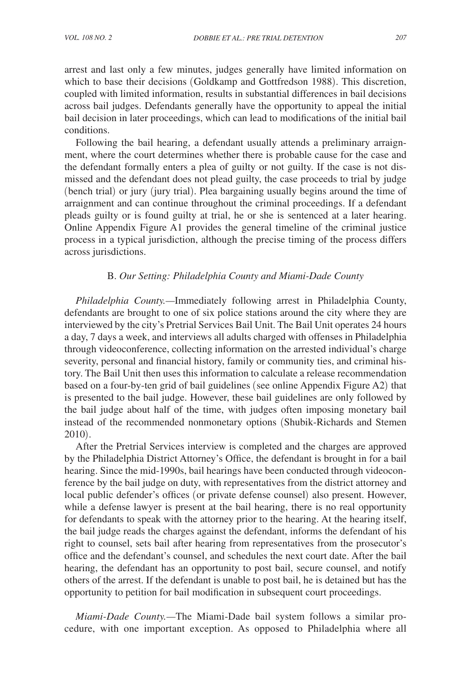arrest and last only a few minutes, judges generally have limited information on which to base their decisions (Goldkamp and Gottfredson 1988). This discretion, coupled with limited information, results in substantial differences in bail decisions across bail judges. Defendants generally have the opportunity to appeal the initial bail decision in later proceedings, which can lead to modifications of the initial bail conditions.

Following the bail hearing, a defendant usually attends a preliminary arraignment, where the court determines whether there is probable cause for the case and the defendant formally enters a plea of guilty or not guilty. If the case is not dismissed and the defendant does not plead guilty, the case proceeds to trial by judge (bench trial) or jury (jury trial). Plea bargaining usually begins around the time of arraignment and can continue throughout the criminal proceedings. If a defendant pleads guilty or is found guilty at trial, he or she is sentenced at a later hearing. Online Appendix Figure A1 provides the general timeline of the criminal justice process in a typical jurisdiction, although the precise timing of the process differs across jurisdictions.

# B. *Our Setting: Philadelphia County and Miami-Dade County*

*Philadelphia County.—*Immediately following arrest in Philadelphia County, defendants are brought to one of six police stations around the city where they are interviewed by the city's Pretrial Services Bail Unit. The Bail Unit operates 24 hours a day, 7 days a week, and interviews all adults charged with offenses in Philadelphia through videoconference, collecting information on the arrested individual's charge severity, personal and financial history, family or community ties, and criminal history. The Bail Unit then uses this information to calculate a release recommendation based on a four-by-ten grid of bail guidelines (see online Appendix Figure A2) that is presented to the bail judge. However, these bail guidelines are only followed by the bail judge about half of the time, with judges often imposing monetary bail instead of the recommended nonmonetary options (Shubik-Richards and Stemen 2010).

After the Pretrial Services interview is completed and the charges are approved by the Philadelphia District Attorney's Office, the defendant is brought in for a bail hearing. Since the mid-1990s, bail hearings have been conducted through videoconference by the bail judge on duty, with representatives from the district attorney and local public defender's offices (or private defense counsel) also present. However, while a defense lawyer is present at the bail hearing, there is no real opportunity for defendants to speak with the attorney prior to the hearing. At the hearing itself, the bail judge reads the charges against the defendant, informs the defendant of his right to counsel, sets bail after hearing from representatives from the prosecutor's office and the defendant's counsel, and schedules the next court date. After the bail hearing, the defendant has an opportunity to post bail, secure counsel, and notify others of the arrest. If the defendant is unable to post bail, he is detained but has the opportunity to petition for bail modification in subsequent court proceedings.

*Miami-Dade County.—*The Miami-Dade bail system follows a similar procedure, with one important exception. As opposed to Philadelphia where all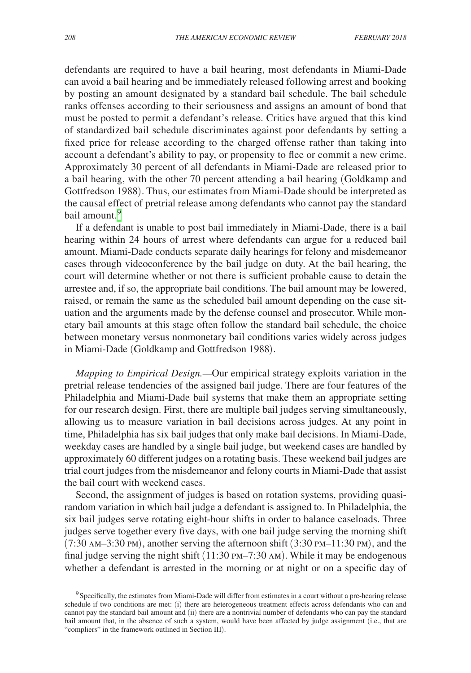defendants are required to have a bail hearing, most defendants in Miami-Dade can avoid a bail hearing and be immediately released following arrest and booking by posting an amount designated by a standard bail schedule. The bail schedule ranks offenses according to their seriousness and assigns an amount of bond that must be posted to permit a defendant's release. Critics have argued that this kind of standardized bail schedule discriminates against poor defendants by setting a fixed price for release according to the charged offense rather than taking into account a defendant's ability to pay, or propensity to flee or commit a new crime. Approximately 30 percent of all defendants in Miami-Dade are released prior to a bail hearing, with the other 70 percent attending a bail hearing (Goldkamp and Gottfredson 1988). Thus, our estimates from Miami-Dade should be interpreted as the causal effect of pretrial release among defendants who cannot pay the standard bail amount.<sup>[9](#page-7-0)</sup>

If a defendant is unable to post bail immediately in Miami-Dade, there is a bail hearing within 24 hours of arrest where defendants can argue for a reduced bail amount. Miami-Dade conducts separate daily hearings for felony and misdemeanor cases through videoconference by the bail judge on duty. At the bail hearing, the court will determine whether or not there is sufficient probable cause to detain the arrestee and, if so, the appropriate bail conditions. The bail amount may be lowered, raised, or remain the same as the scheduled bail amount depending on the case situation and the arguments made by the defense counsel and prosecutor. While monetary bail amounts at this stage often follow the standard bail schedule, the choice between monetary versus nonmonetary bail conditions varies widely across judges in Miami-Dade (Goldkamp and Gottfredson 1988).

*Mapping to Empirical Design.—*Our empirical strategy exploits variation in the pretrial release tendencies of the assigned bail judge. There are four features of the Philadelphia and Miami-Dade bail systems that make them an appropriate setting for our research design. First, there are multiple bail judges serving simultaneously, allowing us to measure variation in bail decisions across judges. At any point in time, Philadelphia has six bail judges that only make bail decisions. In Miami-Dade, weekday cases are handled by a single bail judge, but weekend cases are handled by approximately 60 different judges on a rotating basis. These weekend bail judges are trial court judges from the misdemeanor and felony courts in Miami-Dade that assist the bail court with weekend cases.

Second, the assignment of judges is based on rotation systems, providing quasirandom variation in which bail judge a defendant is assigned to. In Philadelphia, the six bail judges serve rotating eight-hour shifts in order to balance caseloads. Three judges serve together every five days, with one bail judge serving the morning shift (7:30 am–3:30 pm), another serving the afternoon shift (3:30 pm–11:30 pm), and the final judge serving the night shift (11:30 pm–7:30 am). While it may be endogenous whether a defendant is arrested in the morning or at night or on a specific day of

<span id="page-7-0"></span><sup>9</sup>Specifically, the estimates from Miami-Dade will differ from estimates in a court without a pre-hearing release schedule if two conditions are met: (i) there are heterogeneous treatment effects across defendants who can and cannot pay the standard bail amount and (ii) there are a nontrivial number of defendants who can pay the standard bail amount that, in the absence of such a system, would have been affected by judge assignment (i.e., that are "compliers" in the framework outlined in Section III).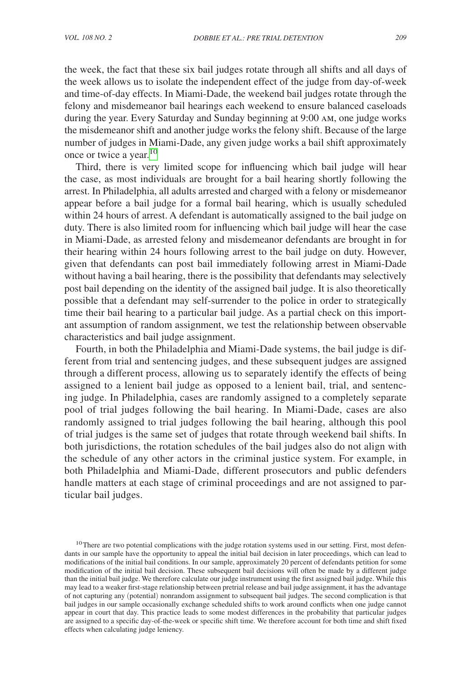the week, the fact that these six bail judges rotate through all shifts and all days of the week allows us to isolate the independent effect of the judge from day-of-week and time-of-day effects. In Miami-Dade, the weekend bail judges rotate through the felony and misdemeanor bail hearings each weekend to ensure balanced caseloads during the year. Every Saturday and Sunday beginning at 9:00 am, one judge works the misdemeanor shift and another judge works the felony shift. Because of the large number of judges in Miami-Dade, any given judge works a bail shift approximately once or twice a year.<sup>[10](#page-8-0)</sup>

Third, there is very limited scope for influencing which bail judge will hear the case, as most individuals are brought for a bail hearing shortly following the arrest. In Philadelphia, all adults arrested and charged with a felony or misdemeanor appear before a bail judge for a formal bail hearing, which is usually scheduled within 24 hours of arrest. A defendant is automatically assigned to the bail judge on duty. There is also limited room for influencing which bail judge will hear the case in Miami-Dade, as arrested felony and misdemeanor defendants are brought in for their hearing within 24 hours following arrest to the bail judge on duty. However, given that defendants can post bail immediately following arrest in Miami-Dade without having a bail hearing, there is the possibility that defendants may selectively post bail depending on the identity of the assigned bail judge. It is also theoretically possible that a defendant may self-surrender to the police in order to strategically time their bail hearing to a particular bail judge. As a partial check on this important assumption of random assignment, we test the relationship between observable characteristics and bail judge assignment.

Fourth, in both the Philadelphia and Miami-Dade systems, the bail judge is different from trial and sentencing judges, and these subsequent judges are assigned through a different process, allowing us to separately identify the effects of being assigned to a lenient bail judge as opposed to a lenient bail, trial, and sentencing judge. In Philadelphia, cases are randomly assigned to a completely separate pool of trial judges following the bail hearing. In Miami-Dade, cases are also randomly assigned to trial judges following the bail hearing, although this pool of trial judges is the same set of judges that rotate through weekend bail shifts. In both jurisdictions, the rotation schedules of the bail judges also do not align with the schedule of any other actors in the criminal justice system. For example, in both Philadelphia and Miami-Dade, different prosecutors and public defenders handle matters at each stage of criminal proceedings and are not assigned to particular bail judges.

<span id="page-8-0"></span> $10$ There are two potential complications with the judge rotation systems used in our setting. First, most defendants in our sample have the opportunity to appeal the initial bail decision in later proceedings, which can lead to modifications of the initial bail conditions. In our sample, approximately 20 percent of defendants petition for some modification of the initial bail decision. These subsequent bail decisions will often be made by a different judge than the initial bail judge. We therefore calculate our judge instrument using the first assigned bail judge. While this may lead to a weaker first-stage relationship between pretrial release and bail judge assignment, it has the advantage of not capturing any (potential) nonrandom assignment to subsequent bail judges. The second complication is that bail judges in our sample occasionally exchange scheduled shifts to work around conflicts when one judge cannot appear in court that day. This practice leads to some modest differences in the probability that particular judges are assigned to a specific day-of-the-week or specific shift time. We therefore account for both time and shift fixed effects when calculating judge leniency.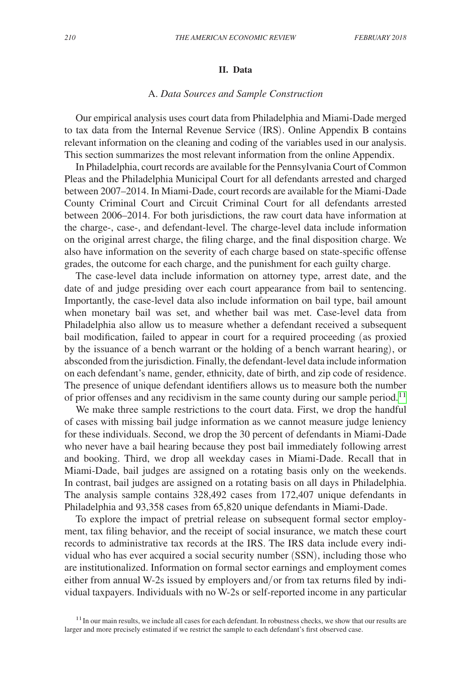#### **II. Data**

# A. *Data Sources and Sample Construction*

Our empirical analysis uses court data from Philadelphia and Miami-Dade merged to tax data from the Internal Revenue Service (IRS). Online Appendix B contains relevant information on the cleaning and coding of the variables used in our analysis. This section summarizes the most relevant information from the online Appendix.

In Philadelphia, court records are available for the Pennsylvania Court of Common Pleas and the Philadelphia Municipal Court for all defendants arrested and charged between 2007–2014. In Miami-Dade, court records are available for the Miami-Dade County Criminal Court and Circuit Criminal Court for all defendants arrested between 2006–2014. For both jurisdictions, the raw court data have information at the charge-, case-, and defendant-level. The charge-level data include information on the original arrest charge, the filing charge, and the final disposition charge. We also have information on the severity of each charge based on state-specific offense grades, the outcome for each charge, and the punishment for each guilty charge.

The case-level data include information on attorney type, arrest date, and the date of and judge presiding over each court appearance from bail to sentencing. Importantly, the case-level data also include information on bail type, bail amount when monetary bail was set, and whether bail was met. Case-level data from Philadelphia also allow us to measure whether a defendant received a subsequent bail modification, failed to appear in court for a required proceeding (as proxied by the issuance of a bench warrant or the holding of a bench warrant hearing), or absconded from the jurisdiction. Finally, the defendant-level data include information on each defendant's name, gender, ethnicity, date of birth, and zip code of residence. The presence of unique defendant identifiers allows us to measure both the number of prior offenses and any recidivism in the same county during our sample period.<sup>[11](#page-9-0)</sup>

We make three sample restrictions to the court data. First, we drop the handful of cases with missing bail judge information as we cannot measure judge leniency for these individuals. Second, we drop the 30 percent of defendants in Miami-Dade who never have a bail hearing because they post bail immediately following arrest and booking. Third, we drop all weekday cases in Miami-Dade. Recall that in Miami-Dade, bail judges are assigned on a rotating basis only on the weekends. In contrast, bail judges are assigned on a rotating basis on all days in Philadelphia. The analysis sample contains 328,492 cases from 172,407 unique defendants in Philadelphia and 93,358 cases from 65,820 unique defendants in Miami-Dade.

To explore the impact of pretrial release on subsequent formal sector employment, tax filing behavior, and the receipt of social insurance, we match these court records to administrative tax records at the IRS. The IRS data include every individual who has ever acquired a social security number (SSN), including those who are institutionalized. Information on formal sector earnings and employment comes either from annual W-2s issued by employers and/or from tax returns filed by individual taxpayers. Individuals with no W-2s or self-reported income in any particular

<span id="page-9-0"></span> $11$  In our main results, we include all cases for each defendant. In robustness checks, we show that our results are larger and more precisely estimated if we restrict the sample to each defendant's first observed case.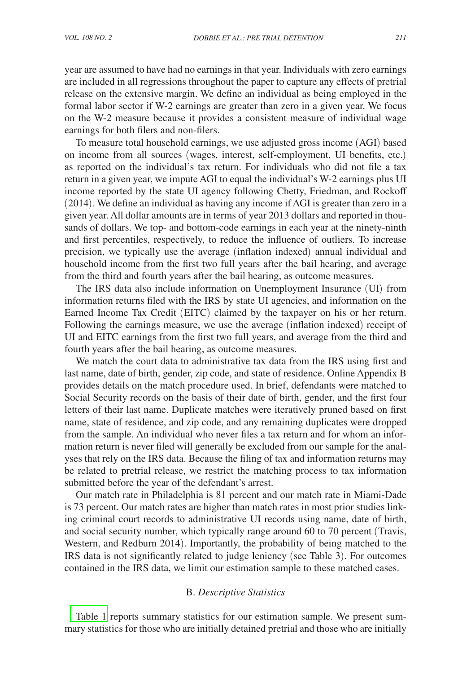year are assumed to have had no earnings in that year. Individuals with zero earnings are included in all regressions throughout the paper to capture any effects of pretrial release on the extensive margin. We define an individual as being employed in the formal labor sector if W-2 earnings are greater than zero in a given year. We focus on the W-2 measure because it provides a consistent measure of individual wage earnings for both filers and non-filers.

To measure total household earnings, we use adjusted gross income (AGI) based on income from all sources (wages, interest, self-employment, UI benefits, etc.) as reported on the individual's tax return. For individuals who did not file a tax return in a given year, we impute AGI to equal the individual's W-2 earnings plus UI income reported by the state UI agency following Chetty, Friedman, and Rockoff (2014). We define an individual as having any income if AGI is greater than zero in a given year. All dollar amounts are in terms of year 2013 dollars and reported in thousands of dollars. We top- and bottom-code earnings in each year at the ninety-ninth and first percentiles, respectively, to reduce the influence of outliers. To increase precision, we typically use the average (inflation indexed) annual individual and household income from the first two full years after the bail hearing, and average from the third and fourth years after the bail hearing, as outcome measures.

The IRS data also include information on Unemployment Insurance (UI) from information returns filed with the IRS by state UI agencies, and information on the Earned Income Tax Credit (EITC) claimed by the taxpayer on his or her return. Following the earnings measure, we use the average (inflation indexed) receipt of UI and EITC earnings from the first two full years, and average from the third and fourth years after the bail hearing, as outcome measures.

We match the court data to administrative tax data from the IRS using first and last name, date of birth, gender, zip code, and state of residence. Online Appendix B provides details on the match procedure used. In brief, defendants were matched to Social Security records on the basis of their date of birth, gender, and the first four letters of their last name. Duplicate matches were iteratively pruned based on first name, state of residence, and zip code, and any remaining duplicates were dropped from the sample. An individual who never files a tax return and for whom an information return is never filed will generally be excluded from our sample for the analyses that rely on the IRS data. Because the filing of tax and information returns may be related to pretrial release, we restrict the matching process to tax information submitted before the year of the defendant's arrest.

Our match rate in Philadelphia is 81 percent and our match rate in Miami-Dade is 73 percent. Our match rates are higher than match rates in most prior studies linking criminal court records to administrative UI records using name, date of birth, and social security number, which typically range around 60 to 70 percent (Travis, Western, and Redburn 2014). Importantly, the probability of being matched to the IRS data is not significantly related to judge leniency (see Table 3). For outcomes contained in the IRS data, we limit our estimation sample to these matched cases.

# B. *Descriptive Statistics*

[Table 1](#page-11-0) reports summary statistics for our estimation sample. We present summary statistics for those who are initially detained pretrial and those who are initially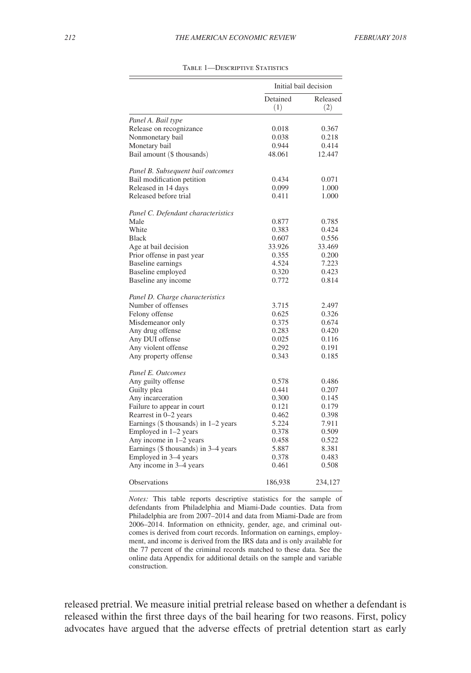<span id="page-11-0"></span>

|                                                                          | Initial bail decision |                 |
|--------------------------------------------------------------------------|-----------------------|-----------------|
|                                                                          | Detained<br>(1)       | Released<br>(2) |
| Panel A. Bail type                                                       |                       |                 |
| Release on recognizance                                                  | 0.018                 | 0.367           |
| Nonmonetary bail                                                         | 0.038                 | 0.218           |
| Monetary bail                                                            | 0.944                 | 0.414           |
| Bail amount (\$ thousands)                                               | 48.061                | 12.447          |
| Panel B. Subsequent bail outcomes                                        |                       |                 |
| Bail modification petition                                               | 0.434                 | 0.071           |
| Released in 14 days                                                      | 0.099                 | 1.000           |
| Released before trial                                                    | 0.411                 | 1.000           |
| Panel C. Defendant characteristics                                       |                       |                 |
| Male                                                                     | 0.877                 | 0.785           |
| White                                                                    | 0.383                 | 0.424           |
| <b>Black</b>                                                             | 0.607                 | 0.556           |
| Age at bail decision                                                     | 33.926                | 33.469          |
| Prior offense in past year                                               | 0.355                 | 0.200           |
| Baseline earnings                                                        | 4.524                 | 7.223           |
| Baseline employed                                                        | 0.320                 | 0.423           |
| Baseline any income                                                      | 0.772                 | 0.814           |
| Panel D. Charge characteristics                                          |                       |                 |
| Number of offenses                                                       | 3.715                 | 2.497           |
| Felony offense                                                           | 0.625                 | 0.326           |
| Misdemeanor only                                                         | 0.375                 | 0.674           |
| Any drug offense                                                         | 0.283                 | 0.420           |
| Any DUI offense                                                          | 0.025                 | 0.116           |
| Any violent offense                                                      | 0.292                 | 0.191           |
| Any property offense                                                     | 0.343                 | 0.185           |
| Panel E. Outcomes                                                        |                       |                 |
| Any guilty offense                                                       | 0.578                 | 0.486           |
| Guilty plea                                                              | 0.441                 | 0.207           |
| Any incarceration                                                        | 0.300                 | 0.145           |
| Failure to appear in court                                               | 0.121                 | 0.179           |
| Rearrest in 0-2 years                                                    | 0.462                 | 0.398           |
| Earnings $(\$$ thousands $)$ in 1–2 years                                | 5.224                 | 7.911           |
| Employed in 1-2 years                                                    | 0.378                 | 0.509           |
| Any income in $1-2$ years                                                | 0.458                 | 0.522           |
| Earnings (\$ thousands) in 3–4 years                                     | 5.887                 | 8.381           |
| Employed in 3-4 years                                                    | 0.378                 | 0.483           |
| Any income in 3-4 years                                                  | 0.461                 | 0.508           |
| Observations                                                             | 186,938               | 234,127         |
| This table reports descriptive statistics for the sample of<br>$M$ otos: |                       |                 |

#### Table 1—Descriptive Statistics

*Notes:* This table reports descriptive statistics for the sample of defendants from Philadelphia and Miami-Dade counties. Data from Philadelphia are from 2007–2014 and data from Miami-Dade are from 2006–2014. Information on ethnicity, gender, age, and criminal outcomes is derived from court records. Information on earnings, employment, and income is derived from the IRS data and is only available for the 77 percent of the criminal records matched to these data. See the online data Appendix for additional details on the sample and variable construction.

released pretrial. We measure initial pretrial release based on whether a defendant is released within the first three days of the bail hearing for two reasons. First, policy advocates have argued that the adverse effects of pretrial detention start as early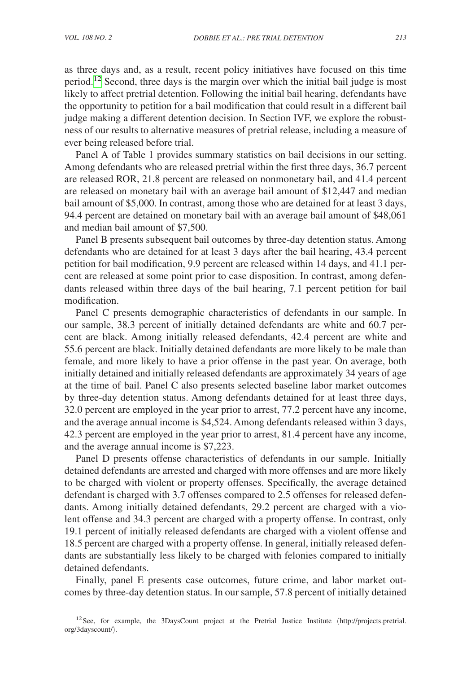as three days and, as a result, recent policy initiatives have focused on this time period.<sup>12</sup> Second, three days is the margin over which the initial bail judge is most likely to affect pretrial detention. Following the initial bail hearing, defendants have the opportunity to petition for a bail modification that could result in a different bail judge making a different detention decision. In Section IVF, we explore the robustness of our results to alternative measures of pretrial release, including a measure of ever being released before trial.

Panel A of Table 1 provides summary statistics on bail decisions in our setting. Among defendants who are released pretrial within the first three days, 36.7 percent are released ROR, 21.8 percent are released on nonmonetary bail, and 41.4 percent are released on monetary bail with an average bail amount of \$12,447 and median bail amount of \$5,000. In contrast, among those who are detained for at least 3 days, 94.4 percent are detained on monetary bail with an average bail amount of \$48,061 and median bail amount of \$7,500.

Panel B presents subsequent bail outcomes by three-day detention status. Among defendants who are detained for at least 3 days after the bail hearing, 43.4 percent petition for bail modification, 9.9 percent are released within 14 days, and 41.1 percent are released at some point prior to case disposition. In contrast, among defendants released within three days of the bail hearing, 7.1 percent petition for bail modification.

Panel C presents demographic characteristics of defendants in our sample. In our sample, 38.3 percent of initially detained defendants are white and 60.7 percent are black. Among initially released defendants, 42.4 percent are white and 55.6 percent are black. Initially detained defendants are more likely to be male than female, and more likely to have a prior offense in the past year. On average, both initially detained and initially released defendants are approximately 34 years of age at the time of bail. Panel C also presents selected baseline labor market outcomes by three-day detention status. Among defendants detained for at least three days, 32.0 percent are employed in the year prior to arrest, 77.2 percent have any income, and the average annual income is \$4,524. Among defendants released within 3 days, 42.3 percent are employed in the year prior to arrest, 81.4 percent have any income, and the average annual income is \$7,223.

Panel D presents offense characteristics of defendants in our sample. Initially detained defendants are arrested and charged with more offenses and are more likely to be charged with violent or property offenses. Specifically, the average detained defendant is charged with 3.7 offenses compared to 2.5 offenses for released defendants. Among initially detained defendants, 29.2 percent are charged with a violent offense and 34.3 percent are charged with a property offense. In contrast, only 19.1 percent of initially released defendants are charged with a violent offense and 18.5 percent are charged with a property offense. In general, initially released defendants are substantially less likely to be charged with felonies compared to initially detained defendants.

Finally, panel E presents case outcomes, future crime, and labor market outcomes by three-day detention status. In our sample, 57.8 percent of initially detained

<span id="page-12-0"></span><sup>12</sup>See, for example, the 3DaysCount project at the Pretrial Justice Institute ([http://projects.pretrial.](http://projects.pretrial.org/3dayscount/) [org/3dayscount](http://projects.pretrial.org/3dayscount/)/).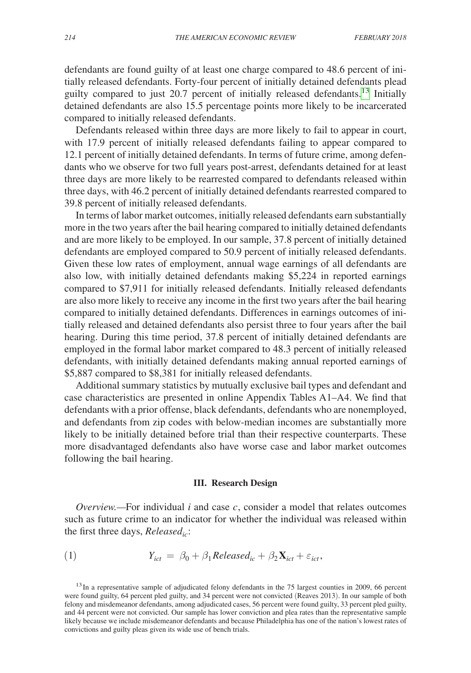defendants are found guilty of at least one charge compared to 48.6 percent of initially released defendants. Forty-four percent of initially detained defendants plead guilty compared to just 20.7 percent of initially released defendants.<sup>[13](#page-13-0)</sup> Initially detained defendants are also 15.5 percentage points more likely to be incarcerated compared to initially released defendants.

Defendants released within three days are more likely to fail to appear in court, with 17.9 percent of initially released defendants failing to appear compared to 12.1 percent of initially detained defendants. In terms of future crime, among defendants who we observe for two full years post-arrest, defendants detained for at least three days are more likely to be rearrested compared to defendants released within three days, with 46.2 percent of initially detained defendants rearrested compared to 39.8 percent of initially released defendants.

In terms of labor market outcomes, initially released defendants earn substantially more in the two years after the bail hearing compared to initially detained defendants and are more likely to be employed. In our sample, 37.8 percent of initially detained defendants are employed compared to 50.9 percent of initially released defendants. Given these low rates of employment, annual wage earnings of all defendants are also low, with initially detained defendants making \$5,224 in reported earnings compared to \$7,911 for initially released defendants. Initially released defendants are also more likely to receive any income in the first two years after the bail hearing compared to initially detained defendants. Differences in earnings outcomes of initially released and detained defendants also persist three to four years after the bail hearing. During this time period, 37.8 percent of initially detained defendants are employed in the formal labor market compared to 48.3 percent of initially released defendants, with initially detained defendants making annual reported earnings of \$5,887 compared to \$8,381 for initially released defendants.

Additional summary statistics by mutually exclusive bail types and defendant and case characteristics are presented in online Appendix Tables A1–A4. We find that defendants with a prior offense, black defendants, defendants who are nonemployed, and defendants from zip codes with below-median incomes are substantially more likely to be initially detained before trial than their respective counterparts. These more disadvantaged defendants also have worse case and labor market outcomes following the bail hearing.

#### **III. Research Design**

*Overview.—*For individual *i* and case *c*, consider a model that relates outcomes such as future crime to an indicator for whether the individual was released within the first three days, *Releasedic*:

(1) 
$$
Y_{ict} = \beta_0 + \beta_1 Release d_{ic} + \beta_2 \mathbf{X}_{ict} + \varepsilon_{ict},
$$

<span id="page-13-0"></span><sup>&</sup>lt;sup>13</sup>In a representative sample of adjudicated felony defendants in the 75 largest counties in 2009, 66 percent were found guilty, 64 percent pled guilty, and 34 percent were not convicted (Reaves 2013). In our sample of both felony and misdemeanor defendants, among adjudicated cases, 56 percent were found guilty, 33 percent pled guilty, and 44 percent were not convicted. Our sample has lower conviction and plea rates than the representative sample likely because we include misdemeanor defendants and because Philadelphia has one of the nation's lowest rates of convictions and guilty pleas given its wide use of bench trials.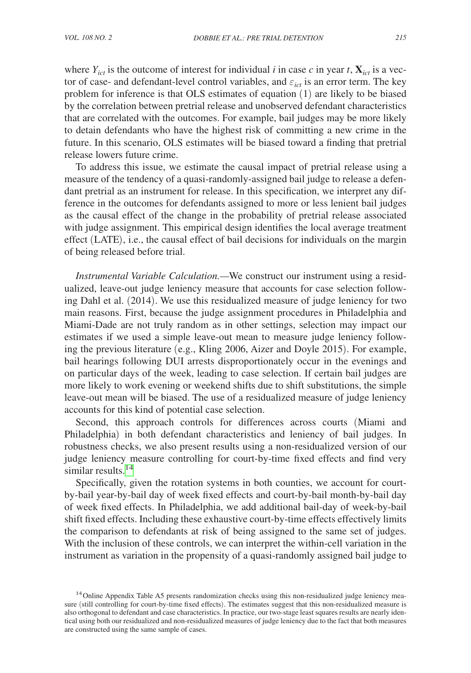where  $Y_{ict}$  is the outcome of interest for individual *i* in case *c* in year *t*,  $\mathbf{X}_{ict}$  is a vector of case- and defendant-level control variables, and  $\varepsilon_{ict}$  is an error term. The key problem for inference is that OLS estimates of equation (1) are likely to be biased by the correlation between pretrial release and unobserved defendant characteristics that are correlated with the outcomes. For example, bail judges may be more likely to detain defendants who have the highest risk of committing a new crime in the future. In this scenario, OLS estimates will be biased toward a finding that pretrial release lowers future crime.

To address this issue, we estimate the causal impact of pretrial release using a measure of the tendency of a quasi-randomly-assigned bail judge to release a defendant pretrial as an instrument for release. In this specification, we interpret any difference in the outcomes for defendants assigned to more or less lenient bail judges as the causal effect of the change in the probability of pretrial release associated with judge assignment. This empirical design identifies the local average treatment effect (LATE), i.e., the causal effect of bail decisions for individuals on the margin of being released before trial.

*Instrumental Variable Calculation.—*We construct our instrument using a residualized, leave-out judge leniency measure that accounts for case selection following Dahl et al. (2014). We use this residualized measure of judge leniency for two main reasons. First, because the judge assignment procedures in Philadelphia and Miami-Dade are not truly random as in other settings, selection may impact our estimates if we used a simple leave-out mean to measure judge leniency following the previous literature (e.g., Kling 2006, Aizer and Doyle 2015). For example, bail hearings following DUI arrests disproportionately occur in the evenings and on particular days of the week, leading to case selection. If certain bail judges are more likely to work evening or weekend shifts due to shift substitutions, the simple leave-out mean will be biased. The use of a residualized measure of judge leniency accounts for this kind of potential case selection.

Second, this approach controls for differences across courts (Miami and Philadelphia) in both defendant characteristics and leniency of bail judges. In robustness checks, we also present results using a non-residualized version of our judge leniency measure controlling for court-by-time fixed effects and find very similar results.<sup>[14](#page-14-0)</sup>

Specifically, given the rotation systems in both counties, we account for courtby-bail year-by-bail day of week fixed effects and court-by-bail month-by-bail day of week fixed effects. In Philadelphia, we add additional bail-day of week-by-bail shift fixed effects. Including these exhaustive court-by-time effects effectively limits the comparison to defendants at risk of being assigned to the same set of judges. With the inclusion of these controls, we can interpret the within-cell variation in the instrument as variation in the propensity of a quasi-randomly assigned bail judge to

<span id="page-14-0"></span><sup>&</sup>lt;sup>14</sup> Online Appendix Table A5 presents randomization checks using this non-residualized judge leniency measure (still controlling for court-by-time fixed effects). The estimates suggest that this non-residualized measure is also orthogonal to defendant and case characteristics. In practice, our two-stage least squares results are nearly identical using both our residualized and non-residualized measures of judge leniency due to the fact that both measures are constructed using the same sample of cases.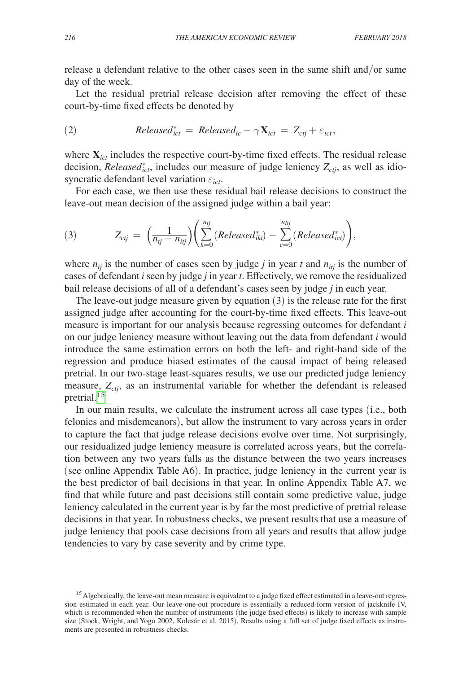release a defendant relative to the other cases seen in the same shift and/or same day of the week.

Let the residual pretrial release decision after removing the effect of these court-by-time fixed effects be denoted by

(2) 
$$
Released_{ict}^* = Released_{ic} - \gamma \mathbf{X}_{ict} = Z_{ctj} + \varepsilon_{ict},
$$

where  $\mathbf{X}_{ict}$  includes the respective court-by-time fixed effects. The residual release decision, *Released*<sup>\*</sup><sub>ict</sub>, includes our measure of judge leniency  $Z_{ctj}$ , as well as idiosyncratic defendant level variation ε*ict*.

For each case, we then use these residual bail release decisions to construct the leave-out mean decision of the assigned judge within a bail year:

(3) 
$$
Z_{ctj} = \left(\frac{1}{n_{tj} - n_{itj}}\right) \left(\sum_{k=0}^{n_{tj}} (Released_{ikt}^*) - \sum_{c=0}^{n_{itj}} (Released_{ict}^*)\right),
$$

where  $n_{ti}$  is the number of cases seen by judge *j* in year *t* and  $n_{ti}$  is the number of cases of defendant *i* seen by judge *j* in year *t*. Effectively, we remove the residualized bail release decisions of all of a defendant's cases seen by judge *j* in each year.

The leave-out judge measure given by equation  $(3)$  is the release rate for the first assigned judge after accounting for the court-by-time fixed effects. This leave-out measure is important for our analysis because regressing outcomes for defendant *i* on our judge leniency measure without leaving out the data from defendant *i* would introduce the same estimation errors on both the left- and right-hand side of the regression and produce biased estimates of the causal impact of being released pretrial. In our two-stage least-squares results, we use our predicted judge leniency measure,  $Z_{\text{cri}}$ , as an instrumental variable for whether the defendant is released pretrial.[15](#page-15-0)

In our main results, we calculate the instrument across all case types (i.e., both felonies and misdemeanors), but allow the instrument to vary across years in order to capture the fact that judge release decisions evolve over time. Not surprisingly, our residualized judge leniency measure is correlated across years, but the correlation between any two years falls as the distance between the two years increases (see online Appendix Table A6). In practice, judge leniency in the current year is the best predictor of bail decisions in that year. In online Appendix Table A7, we find that while future and past decisions still contain some predictive value, judge leniency calculated in the current year is by far the most predictive of pretrial release decisions in that year. In robustness checks, we present results that use a measure of judge leniency that pools case decisions from all years and results that allow judge tendencies to vary by case severity and by crime type.

<span id="page-15-0"></span><sup>&</sup>lt;sup>15</sup> Algebraically, the leave-out mean measure is equivalent to a judge fixed effect estimated in a leave-out regression estimated in each year. Our leave-one-out procedure is essentially a reduced-form version of jackknife IV, which is recommended when the number of instruments (the judge fixed effects) is likely to increase with sample size (Stock, Wright, and Yogo 2002, Kolesár et al. 2015). Results using a full set of judge fixed effects as instruments are presented in robustness checks.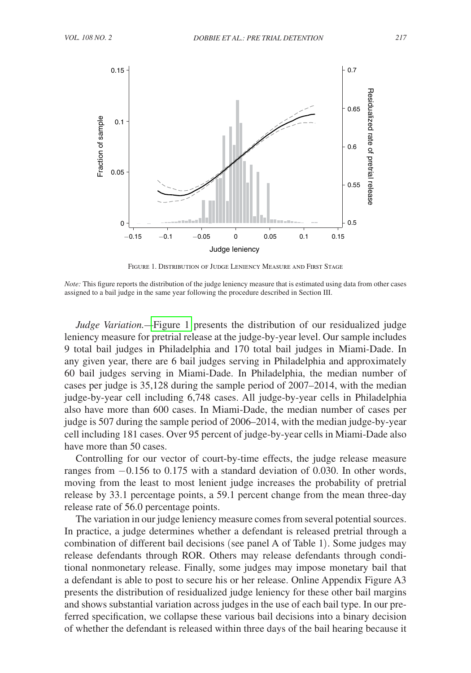

Figure 1. Distribution of Judge Leniency Measure and First Stage

*Note:* This figure reports the distribution of the judge leniency measure that is estimated using data from other cases assigned to a bail judge in the same year following the procedure described in Section III.

*Judge Variation.—*Figure 1 presents the distribution of our residualized judge leniency measure for pretrial release at the judge-by-year level. Our sample includes 9 total bail judges in Philadelphia and 170 total bail judges in Miami-Dade. In any given year, there are 6 bail judges serving in Philadelphia and approximately 60 bail judges serving in Miami-Dade. In Philadelphia, the median number of cases per judge is 35,128 during the sample period of 2007–2014, with the median judge-by-year cell including 6,748 cases. All judge-by-year cells in Philadelphia also have more than 600 cases. In Miami-Dade, the median number of cases per judge is 507 during the sample period of 2006–2014, with the median judge-by-year cell including 181 cases. Over 95 percent of judge-by-year cells in Miami-Dade also have more than 50 cases.

Controlling for our vector of court-by-time effects, the judge release measure ranges from −0.156 to 0.175 with a standard deviation of 0.030. In other words, moving from the least to most lenient judge increases the probability of pretrial release by 33.1 percentage points, a 59.1 percent change from the mean three-day release rate of 56.0 percentage points.

The variation in our judge leniency measure comes from several potential sources. In practice, a judge determines whether a defendant is released pretrial through a combination of different bail decisions (see panel A of Table 1). Some judges may release defendants through ROR. Others may release defendants through conditional nonmonetary release. Finally, some judges may impose monetary bail that a defendant is able to post to secure his or her release. Online Appendix Figure A3 presents the distribution of residualized judge leniency for these other bail margins and shows substantial variation across judges in the use of each bail type. In our preferred specification, we collapse these various bail decisions into a binary decision of whether the defendant is released within three days of the bail hearing because it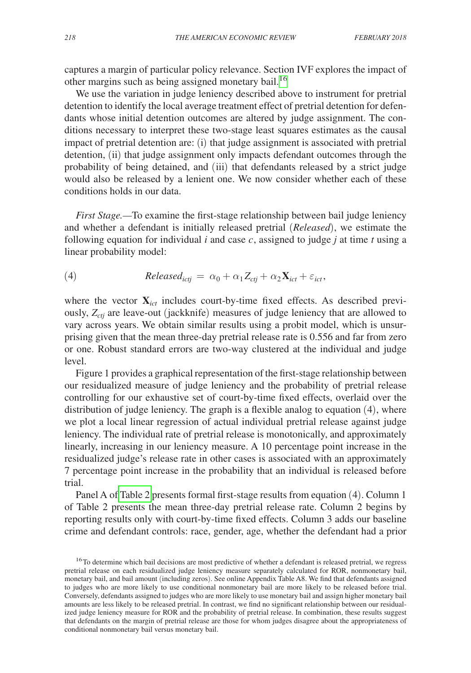captures a margin of particular policy relevance. Section IVF explores the impact of other margins such as being assigned monetary bail.<sup>[16](#page-17-0)</sup>

We use the variation in judge leniency described above to instrument for pretrial detention to identify the local average treatment effect of pretrial detention for defendants whose initial detention outcomes are altered by judge assignment. The conditions necessary to interpret these two-stage least squares estimates as the causal impact of pretrial detention are: (i) that judge assignment is associated with pretrial detention, (ii) that judge assignment only impacts defendant outcomes through the probability of being detained, and (iii) that defendants released by a strict judge would also be released by a lenient one. We now consider whether each of these conditions holds in our data.

*First Stage.—*To examine the first-stage relationship between bail judge leniency and whether a defendant is initially released pretrial (*Released*), we estimate the following equation for individual *i* and case *c*, assigned to judge *j* at time *t* using a linear probability model:

(4) 
$$
Released_{ictj} = \alpha_0 + \alpha_1 Z_{ctj} + \alpha_2 \mathbf{X}_{ict} + \varepsilon_{ict},
$$

where the vector  $\mathbf{X}_{ict}$  includes court-by-time fixed effects. As described previously,  $Z_{cti}$  are leave-out (jackknife) measures of judge leniency that are allowed to vary across years. We obtain similar results using a probit model, which is unsurprising given that the mean three-day pretrial release rate is 0.556 and far from zero or one. Robust standard errors are two-way clustered at the individual and judge level.

Figure 1 provides a graphical representation of the first-stage relationship between our residualized measure of judge leniency and the probability of pretrial release controlling for our exhaustive set of court-by-time fixed effects, overlaid over the distribution of judge leniency. The graph is a flexible analog to equation (4), where we plot a local linear regression of actual individual pretrial release against judge leniency. The individual rate of pretrial release is monotonically, and approximately linearly, increasing in our leniency measure. A 10 percentage point increase in the residualized judge's release rate in other cases is associated with an approximately 7 percentage point increase in the probability that an individual is released before trial.

Panel A of [Table 2](#page-18-0) presents formal first-stage results from equation (4). Column 1 of Table 2 presents the mean three-day pretrial release rate. Column 2 begins by reporting results only with court-by-time fixed effects. Column 3 adds our baseline crime and defendant controls: race, gender, age, whether the defendant had a prior

<span id="page-17-0"></span><sup>&</sup>lt;sup>16</sup>To determine which bail decisions are most predictive of whether a defendant is released pretrial, we regress pretrial release on each residualized judge leniency measure separately calculated for ROR, nonmonetary bail, monetary bail, and bail amount (including zeros). See online Appendix Table A8. We find that defendants assigned to judges who are more likely to use conditional nonmonetary bail are more likely to be released before trial. Conversely, defendants assigned to judges who are more likely to use monetary bail and assign higher monetary bail amounts are less likely to be released pretrial. In contrast, we find no significant relationship between our residualized judge leniency measure for ROR and the probability of pretrial release. In combination, these results suggest that defendants on the margin of pretrial release are those for whom judges disagree about the appropriateness of conditional nonmonetary bail versus monetary bail.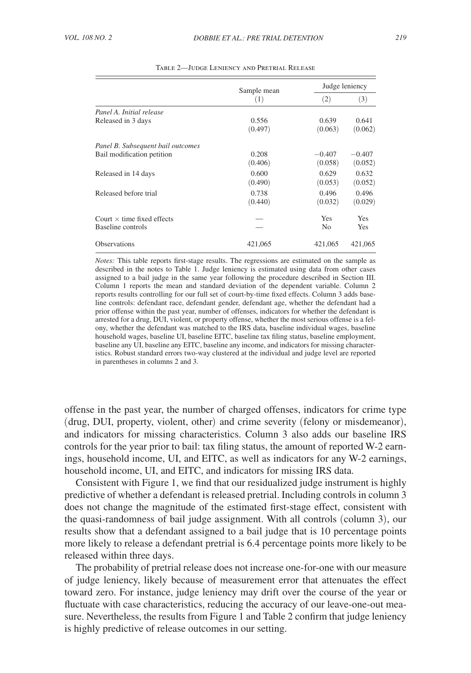<span id="page-18-0"></span>

|                                   | Sample mean |          | Judge leniency |  |  |
|-----------------------------------|-------------|----------|----------------|--|--|
|                                   | (1)         | (2)      | (3)            |  |  |
| Panel A. Initial release          | 0.556       | 0.639    | 0.641          |  |  |
| Released in 3 days                | (0.497)     | (0.063)  | (0.062)        |  |  |
| Panel B. Subsequent bail outcomes | 0.208       | $-0.407$ | $-0.407$       |  |  |
| Bail modification petition        | (0.406)     | (0.058)  | (0.052)        |  |  |
| Released in 14 days               | 0.600       | 0.629    | 0.632          |  |  |
|                                   | (0.490)     | (0.053)  | (0.052)        |  |  |
| Released before trial             | 0.738       | 0.496    | 0.496          |  |  |
|                                   | (0.440)     | (0.032)  | (0.029)        |  |  |
| Court $\times$ time fixed effects |             | Yes      | Yes            |  |  |
| Baseline controls                 |             | No.      | Yes            |  |  |
| <b>Observations</b>               | 421,065     | 421,065  | 421,065        |  |  |

Table 2—Judge Leniency and Pretrial Release

*Notes:* This table reports first-stage results. The regressions are estimated on the sample as described in the notes to Table 1. Judge leniency is estimated using data from other cases assigned to a bail judge in the same year following the procedure described in Section III. Column 1 reports the mean and standard deviation of the dependent variable. Column 2 reports results controlling for our full set of court-by-time fixed effects. Column 3 adds baseline controls: defendant race, defendant gender, defendant age, whether the defendant had a prior offense within the past year, number of offenses, indicators for whether the defendant is arrested for a drug, DUI, violent, or property offense, whether the most serious offense is a felony, whether the defendant was matched to the IRS data, baseline individual wages, baseline household wages, baseline UI, baseline EITC, baseline tax filing status, baseline employment, baseline any UI, baseline any EITC, baseline any income, and indicators for missing characteristics. Robust standard errors two-way clustered at the individual and judge level are reported in parentheses in columns 2 and 3.

offense in the past year, the number of charged offenses, indicators for crime type (drug, DUI, property, violent, other) and crime severity (felony or misdemeanor), and indicators for missing characteristics. Column 3 also adds our baseline IRS controls for the year prior to bail: tax filing status, the amount of reported W-2 earnings, household income, UI, and EITC, as well as indicators for any W-2 earnings, household income, UI, and EITC, and indicators for missing IRS data.

Consistent with Figure 1, we find that our residualized judge instrument is highly predictive of whether a defendant is released pretrial. Including controls in column 3 does not change the magnitude of the estimated first-stage effect, consistent with the quasi-randomness of bail judge assignment. With all controls (column 3), our results show that a defendant assigned to a bail judge that is 10 percentage points more likely to release a defendant pretrial is 6.4 percentage points more likely to be released within three days.

The probability of pretrial release does not increase one-for-one with our measure of judge leniency, likely because of measurement error that attenuates the effect toward zero. For instance, judge leniency may drift over the course of the year or fluctuate with case characteristics, reducing the accuracy of our leave-one-out measure. Nevertheless, the results from Figure 1 and Table 2 confirm that judge leniency is highly predictive of release outcomes in our setting.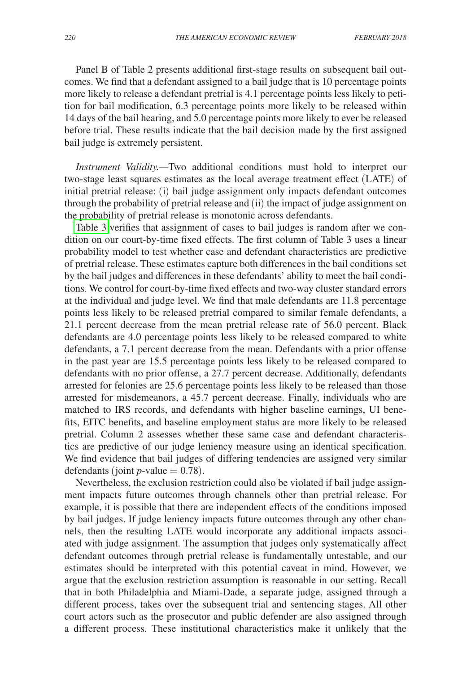Panel B of Table 2 presents additional first-stage results on subsequent bail outcomes. We find that a defendant assigned to a bail judge that is 10 percentage points more likely to release a defendant pretrial is 4.1 percentage points less likely to petition for bail modification, 6.3 percentage points more likely to be released within 14 days of the bail hearing, and 5.0 percentage points more likely to ever be released before trial. These results indicate that the bail decision made by the first assigned bail judge is extremely persistent.

*Instrument Validity.—*Two additional conditions must hold to interpret our two-stage least squares estimates as the local average treatment effect (LATE) of initial pretrial release: (i) bail judge assignment only impacts defendant outcomes through the probability of pretrial release and (ii) the impact of judge assignment on the probability of pretrial release is monotonic across defendants.

[Table 3](#page-20-0) verifies that assignment of cases to bail judges is random after we condition on our court-by-time fixed effects. The first column of Table 3 uses a linear probability model to test whether case and defendant characteristics are predictive of pretrial release. These estimates capture both differences in the bail conditions set by the bail judges and differences in these defendants' ability to meet the bail conditions. We control for court-by-time fixed effects and two-way cluster standard errors at the individual and judge level. We find that male defendants are 11.8 percentage points less likely to be released pretrial compared to similar female defendants, a 21.1 percent decrease from the mean pretrial release rate of 56.0 percent. Black defendants are 4.0 percentage points less likely to be released compared to white defendants, a 7.1 percent decrease from the mean. Defendants with a prior offense in the past year are 15.5 percentage points less likely to be released compared to defendants with no prior offense, a 27.7 percent decrease. Additionally, defendants arrested for felonies are 25.6 percentage points less likely to be released than those arrested for misdemeanors, a 45.7 percent decrease. Finally, individuals who are matched to IRS records, and defendants with higher baseline earnings, UI benefits, EITC benefits, and baseline employment status are more likely to be released pretrial. Column 2 assesses whether these same case and defendant characteristics are predictive of our judge leniency measure using an identical specification. We find evidence that bail judges of differing tendencies are assigned very similar defendants (joint  $p$ -value  $= 0.78$ ).

Nevertheless, the exclusion restriction could also be violated if bail judge assignment impacts future outcomes through channels other than pretrial release. For example, it is possible that there are independent effects of the conditions imposed by bail judges. If judge leniency impacts future outcomes through any other channels, then the resulting LATE would incorporate any additional impacts associated with judge assignment. The assumption that judges only systematically affect defendant outcomes through pretrial release is fundamentally untestable, and our estimates should be interpreted with this potential caveat in mind. However, we argue that the exclusion restriction assumption is reasonable in our setting. Recall that in both Philadelphia and Miami-Dade, a separate judge, assigned through a different process, takes over the subsequent trial and sentencing stages. All other court actors such as the prosecutor and public defender are also assigned through a different process. These institutional characteristics make it unlikely that the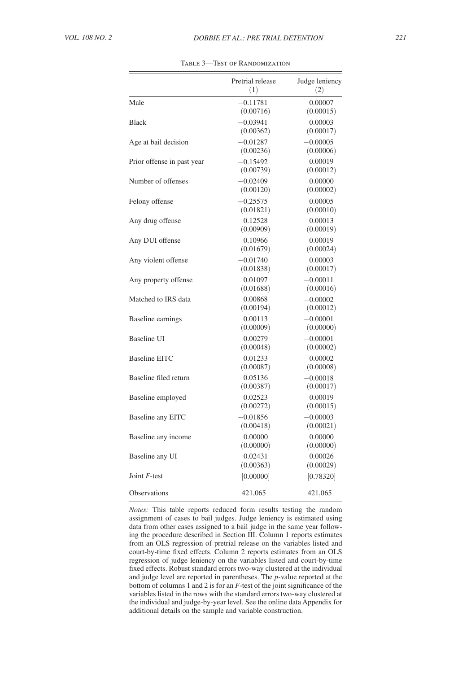<span id="page-20-0"></span>

|                            | Pretrial release<br>(1) | Judge leniency<br>(2)   |
|----------------------------|-------------------------|-------------------------|
| Male                       | $-0.11781$<br>(0.00716) | 0.00007<br>(0.00015)    |
| <b>Black</b>               | $-0.03941$<br>(0.00362) | 0.00003<br>(0.00017)    |
| Age at bail decision       | $-0.01287$<br>(0.00236) | $-0.00005$<br>(0.00006) |
| Prior offense in past year | $-0.15492$<br>(0.00739) | 0.00019<br>(0.00012)    |
| Number of offenses         | $-0.02409$<br>(0.00120) | 0.00000<br>(0.00002)    |
| Felony offense             | $-0.25575$<br>(0.01821) | 0.00005<br>(0.00010)    |
| Any drug offense           | 0.12528<br>(0.00909)    | 0.00013<br>(0.00019)    |
| Any DUI offense            | 0.10966<br>(0.01679)    | 0.00019<br>(0.00024)    |
| Any violent offense        | $-0.01740$<br>(0.01838) | 0.00003<br>(0.00017)    |
| Any property offense       | 0.01097<br>(0.01688)    | $-0.00011$<br>(0.00016) |
| Matched to IRS data        | 0.00868<br>(0.00194)    | $-0.00002$<br>(0.00012) |
| Baseline earnings          | 0.00113<br>(0.00009)    | $-0.00001$<br>(0.00000) |
| <b>Baseline UI</b>         | 0.00279<br>(0.00048)    | $-0.00001$<br>(0.00002) |
| <b>Baseline EITC</b>       | 0.01233<br>(0.00087)    | 0.00002<br>(0.00008)    |
| Baseline filed return      | 0.05136<br>(0.00387)    | $-0.00018$<br>(0.00017) |
| Baseline employed          | 0.02523<br>(0.00272)    | 0.00019<br>(0.00015)    |
| Baseline any EITC          | $-0.01856$<br>(0.00418) | $-0.00003$<br>(0.00021) |
| Baseline any income        | 0.00000<br>(0.00000)    | 0.00000<br>(0.00000)    |
| Baseline any UI            | 0.02431<br>(0.00363)    | 0.00026<br>(0.00029)    |
| Joint $F$ -test            | [0.00000]               | [0.78320]               |
| <b>Observations</b>        | 421,065                 | 421,065                 |

Table 3—Test of Randomization

*Notes:* This table reports reduced form results testing the random assignment of cases to bail judges. Judge leniency is estimated using data from other cases assigned to a bail judge in the same year following the procedure described in Section III. Column 1 reports estimates from an OLS regression of pretrial release on the variables listed and court-by-time fixed effects. Column 2 reports estimates from an OLS regression of judge leniency on the variables listed and court-by-time fixed effects. Robust standard errors two-way clustered at the individual and judge level are reported in parentheses. The *p*-value reported at the bottom of columns 1 and 2 is for an *F*-test of the joint significance of the variables listed in the rows with the standard errors two-way clustered at the individual and judge-by-year level. See the online data Appendix for additional details on the sample and variable construction.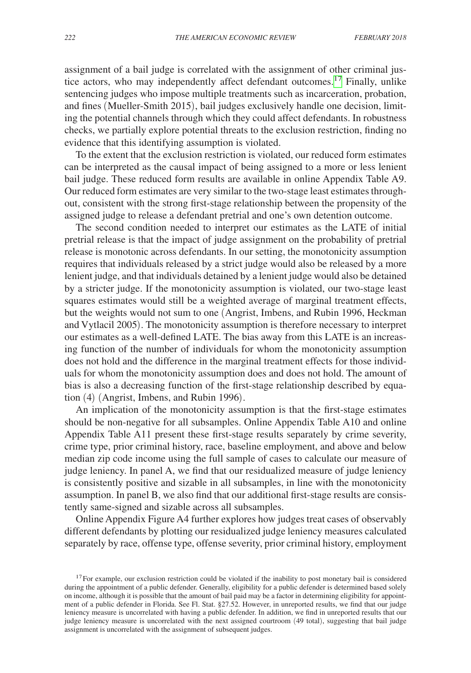assignment of a bail judge is correlated with the assignment of other criminal justice actors, who may independently affect defendant outcomes.<sup>17</sup> Finally, unlike sentencing judges who impose multiple treatments such as incarceration, probation, and fines (Mueller-Smith 2015), bail judges exclusively handle one decision, limiting the potential channels through which they could affect defendants. In robustness checks, we partially explore potential threats to the exclusion restriction, finding no evidence that this identifying assumption is violated.

To the extent that the exclusion restriction is violated, our reduced form estimates can be interpreted as the causal impact of being assigned to a more or less lenient bail judge. These reduced form results are available in online Appendix Table A9. Our reduced form estimates are very similar to the two-stage least estimates throughout, consistent with the strong first-stage relationship between the propensity of the assigned judge to release a defendant pretrial and one's own detention outcome.

The second condition needed to interpret our estimates as the LATE of initial pretrial release is that the impact of judge assignment on the probability of pretrial release is monotonic across defendants. In our setting, the monotonicity assumption requires that individuals released by a strict judge would also be released by a more lenient judge, and that individuals detained by a lenient judge would also be detained by a stricter judge. If the monotonicity assumption is violated, our two-stage least squares estimates would still be a weighted average of marginal treatment effects, but the weights would not sum to one (Angrist, Imbens, and Rubin 1996, Heckman and Vytlacil 2005). The monotonicity assumption is therefore necessary to interpret our estimates as a well-defined LATE. The bias away from this LATE is an increasing function of the number of individuals for whom the monotonicity assumption does not hold and the difference in the marginal treatment effects for those individuals for whom the monotonicity assumption does and does not hold. The amount of bias is also a decreasing function of the first-stage relationship described by equation (4) (Angrist, Imbens, and Rubin 1996).

An implication of the monotonicity assumption is that the first-stage estimates should be non-negative for all subsamples. Online Appendix Table A10 and online Appendix Table A11 present these first-stage results separately by crime severity, crime type, prior criminal history, race, baseline employment, and above and below median zip code income using the full sample of cases to calculate our measure of judge leniency. In panel A, we find that our residualized measure of judge leniency is consistently positive and sizable in all subsamples, in line with the monotonicity assumption. In panel B, we also find that our additional first-stage results are consistently same-signed and sizable across all subsamples.

Online Appendix Figure A4 further explores how judges treat cases of observably different defendants by plotting our residualized judge leniency measures calculated separately by race, offense type, offense severity, prior criminal history, employment

<span id="page-21-0"></span> $17$  For example, our exclusion restriction could be violated if the inability to post monetary bail is considered during the appointment of a public defender. Generally, eligibility for a public defender is determined based solely on income, although it is possible that the amount of bail paid may be a factor in determining eligibility for appointment of a public defender in Florida. See Fl. Stat. §27.52. However, in unreported results, we find that our judge leniency measure is uncorrelated with having a public defender. In addition, we find in unreported results that our judge leniency measure is uncorrelated with the next assigned courtroom (49 total), suggesting that bail judge assignment is uncorrelated with the assignment of subsequent judges.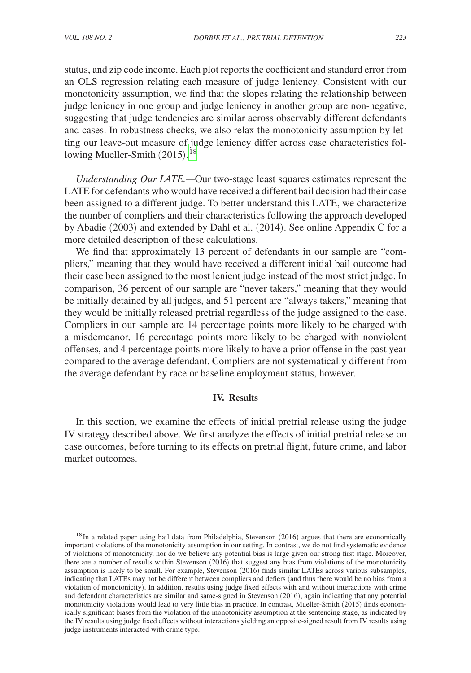status, and zip code income. Each plot reports the coefficient and standard error from an OLS regression relating each measure of judge leniency. Consistent with our monotonicity assumption, we find that the slopes relating the relationship between judge leniency in one group and judge leniency in another group are non-negative, suggesting that judge tendencies are similar across observably different defendants and cases. In robustness checks, we also relax the monotonicity assumption by letting our leave-out measure of judge leniency differ across case characteristics fol-lowing Mueller-Smith (2015).<sup>[18](#page-22-0)</sup>

*Understanding Our LATE.—*Our two-stage least squares estimates represent the LATE for defendants who would have received a different bail decision had their case been assigned to a different judge. To better understand this LATE, we characterize the number of compliers and their characteristics following the approach developed by Abadie (2003) and extended by Dahl et al. (2014). See online Appendix C for a more detailed description of these calculations.

We find that approximately 13 percent of defendants in our sample are "compliers," meaning that they would have received a different initial bail outcome had their case been assigned to the most lenient judge instead of the most strict judge. In comparison, 36 percent of our sample are "never takers," meaning that they would be initially detained by all judges, and 51 percent are "always takers," meaning that they would be initially released pretrial regardless of the judge assigned to the case. Compliers in our sample are 14 percentage points more likely to be charged with a misdemeanor, 16 percentage points more likely to be charged with nonviolent offenses, and 4 percentage points more likely to have a prior offense in the past year compared to the average defendant. Compliers are not systematically different from the average defendant by race or baseline employment status, however.

# **IV. Results**

In this section, we examine the effects of initial pretrial release using the judge IV strategy described above. We first analyze the effects of initial pretrial release on case outcomes, before turning to its effects on pretrial flight, future crime, and labor market outcomes.

<span id="page-22-0"></span><sup>&</sup>lt;sup>18</sup>In a related paper using bail data from Philadelphia, Stevenson (2016) argues that there are economically important violations of the monotonicity assumption in our setting. In contrast, we do not find systematic evidence of violations of monotonicity, nor do we believe any potential bias is large given our strong first stage. Moreover, there are a number of results within Stevenson (2016) that suggest any bias from violations of the monotonicity assumption is likely to be small. For example, Stevenson (2016) finds similar LATEs across various subsamples, indicating that LATEs may not be different between compliers and defiers (and thus there would be no bias from a violation of monotonicity). In addition, results using judge fixed effects with and without interactions with crime and defendant characteristics are similar and same-signed in Stevenson (2016), again indicating that any potential monotonicity violations would lead to very little bias in practice. In contrast, Mueller-Smith (2015) finds economically significant biases from the violation of the monotonicity assumption at the sentencing stage, as indicated by the IV results using judge fixed effects without interactions yielding an opposite-signed result from IV results using judge instruments interacted with crime type.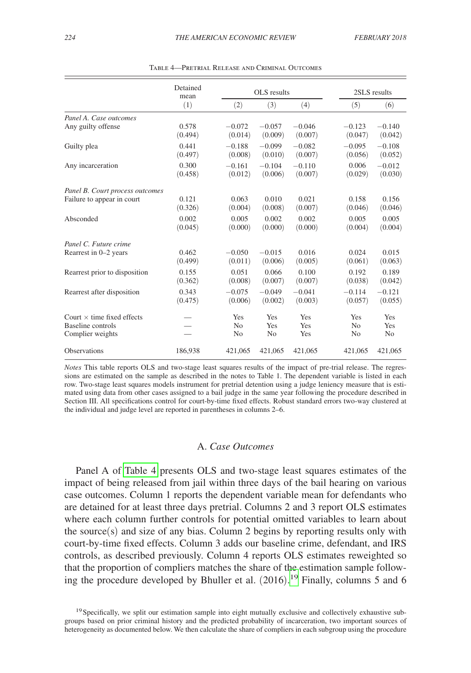|                                   | Detained    | OLS results    |          |          |                | 2SLS results |  |
|-----------------------------------|-------------|----------------|----------|----------|----------------|--------------|--|
|                                   | mean<br>(1) | (2)            | (3)      | (4)      | (5)            | (6)          |  |
| Panel A. Case outcomes            |             |                |          |          |                |              |  |
| Any guilty offense                | 0.578       | $-0.072$       | $-0.057$ | $-0.046$ | $-0.123$       | $-0.140$     |  |
|                                   | (0.494)     | (0.014)        | (0.009)  | (0.007)  | (0.047)        | (0.042)      |  |
| Guilty plea                       | 0.441       | $-0.188$       | $-0.099$ | $-0.082$ | $-0.095$       | $-0.108$     |  |
|                                   | (0.497)     | (0.008)        | (0.010)  | (0.007)  | (0.056)        | (0.052)      |  |
| Any incarceration                 | 0.300       | $-0.161$       | $-0.104$ | $-0.110$ | 0.006          | $-0.012$     |  |
|                                   | (0.458)     | (0.012)        | (0.006)  | (0.007)  | (0.029)        | (0.030)      |  |
| Panel B. Court process outcomes   |             |                |          |          |                |              |  |
| Failure to appear in court        | 0.121       | 0.063          | 0.010    | 0.021    | 0.158          | 0.156        |  |
|                                   | (0.326)     | (0.004)        | (0.008)  | (0.007)  | (0.046)        | (0.046)      |  |
| Absconded                         | 0.002       | 0.005          | 0.002    | 0.002    | 0.005          | 0.005        |  |
|                                   | (0.045)     | (0.000)        | (0.000)  | (0.000)  | (0.004)        | (0.004)      |  |
| Panel C. Future crime             |             |                |          |          |                |              |  |
| Rearrest in 0-2 years             | 0.462       | $-0.050$       | $-0.015$ | 0.016    | 0.024          | 0.015        |  |
|                                   | (0.499)     | (0.011)        | (0.006)  | (0.005)  | (0.061)        | (0.063)      |  |
| Rearrest prior to disposition     | 0.155       | 0.051          | 0.066    | 0.100    | 0.192          | 0.189        |  |
|                                   | (0.362)     | (0.008)        | (0.007)  | (0.007)  | (0.038)        | (0.042)      |  |
| Rearrest after disposition        | 0.343       | $-0.075$       | $-0.049$ | $-0.041$ | $-0.114$       | $-0.121$     |  |
|                                   | (0.475)     | (0.006)        | (0.002)  | (0.003)  | (0.057)        | (0.055)      |  |
| Court $\times$ time fixed effects |             | Yes            | Yes      | Yes      | Yes            | Yes          |  |
| Baseline controls                 |             | No             | Yes      | Yes      | N <sub>0</sub> | Yes          |  |
| Complier weights                  |             | N <sub>0</sub> | No       | Yes      | N <sub>0</sub> | No           |  |
| <b>Observations</b>               | 186,938     | 421,065        | 421,065  | 421,065  | 421,065        | 421,065      |  |

| TABLE 4-PRETRIAL RELEASE AND CRIMINAL OUTCOMES |  |  |  |
|------------------------------------------------|--|--|--|
|------------------------------------------------|--|--|--|

*Notes* This table reports OLS and two-stage least squares results of the impact of pre-trial release. The regressions are estimated on the sample as described in the notes to Table 1. The dependent variable is listed in each row. Two-stage least squares models instrument for pretrial detention using a judge leniency measure that is estimated using data from other cases assigned to a bail judge in the same year following the procedure described in Section III. All specifications control for court-by-time fixed effects. Robust standard errors two-way clustered at the individual and judge level are reported in parentheses in columns 2–6.

## A. *Case Outcomes*

Panel A of Table 4 presents OLS and two-stage least squares estimates of the impact of being released from jail within three days of the bail hearing on various case outcomes. Column 1 reports the dependent variable mean for defendants who are detained for at least three days pretrial. Columns 2 and 3 report OLS estimates where each column further controls for potential omitted variables to learn about the source(s) and size of any bias. Column 2 begins by reporting results only with court-by-time fixed effects. Column 3 adds our baseline crime, defendant, and IRS controls, as described previously. Column 4 reports OLS estimates reweighted so that the proportion of compliers matches the share of the estimation sample following the procedure developed by Bhuller et al. (2016). [19](#page-23-0) Finally, columns 5 and 6

<span id="page-23-0"></span><sup>&</sup>lt;sup>19</sup> Specifically, we split our estimation sample into eight mutually exclusive and collectively exhaustive subgroups based on prior criminal history and the predicted probability of incarceration, two important sources of heterogeneity as documented below. We then calculate the share of compliers in each subgroup using the procedure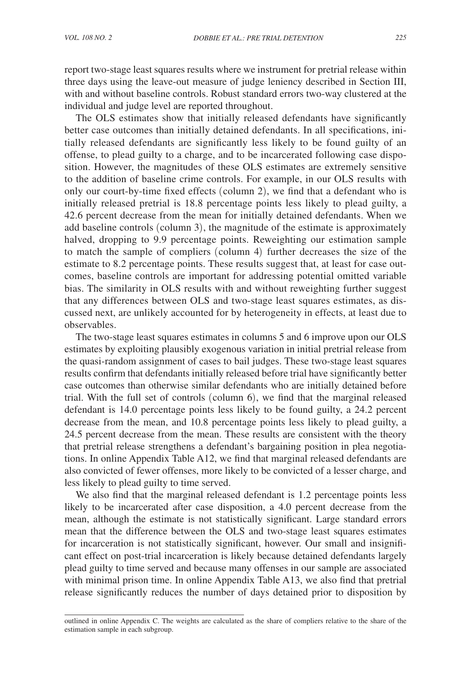report two-stage least squares results where we instrument for pretrial release within three days using the leave-out measure of judge leniency described in Section III, with and without baseline controls. Robust standard errors two-way clustered at the individual and judge level are reported throughout.

The OLS estimates show that initially released defendants have significantly better case outcomes than initially detained defendants. In all specifications, initially released defendants are significantly less likely to be found guilty of an offense, to plead guilty to a charge, and to be incarcerated following case disposition. However, the magnitudes of these OLS estimates are extremely sensitive to the addition of baseline crime controls. For example, in our OLS results with only our court-by-time fixed effects (column 2), we find that a defendant who is initially released pretrial is 18.8 percentage points less likely to plead guilty, a 42.6 percent decrease from the mean for initially detained defendants. When we add baseline controls (column 3), the magnitude of the estimate is approximately halved, dropping to 9.9 percentage points. Reweighting our estimation sample to match the sample of compliers (column 4) further decreases the size of the estimate to 8.2 percentage points. These results suggest that, at least for case outcomes, baseline controls are important for addressing potential omitted variable bias. The similarity in OLS results with and without reweighting further suggest that any differences between OLS and two-stage least squares estimates, as discussed next, are unlikely accounted for by heterogeneity in effects, at least due to observables.

The two-stage least squares estimates in columns 5 and 6 improve upon our OLS estimates by exploiting plausibly exogenous variation in initial pretrial release from the quasi-random assignment of cases to bail judges. These two-stage least squares results confirm that defendants initially released before trial have significantly better case outcomes than otherwise similar defendants who are initially detained before trial. With the full set of controls (column 6), we find that the marginal released defendant is 14.0 percentage points less likely to be found guilty, a 24.2 percent decrease from the mean, and 10.8 percentage points less likely to plead guilty, a 24.5 percent decrease from the mean. These results are consistent with the theory that pretrial release strengthens a defendant's bargaining position in plea negotiations. In online Appendix Table A12, we find that marginal released defendants are also convicted of fewer offenses, more likely to be convicted of a lesser charge, and less likely to plead guilty to time served.

We also find that the marginal released defendant is 1.2 percentage points less likely to be incarcerated after case disposition, a 4.0 percent decrease from the mean, although the estimate is not statistically significant. Large standard errors mean that the difference between the OLS and two-stage least squares estimates for incarceration is not statistically significant, however. Our small and insignificant effect on post-trial incarceration is likely because detained defendants largely plead guilty to time served and because many offenses in our sample are associated with minimal prison time. In online Appendix Table A13, we also find that pretrial release significantly reduces the number of days detained prior to disposition by

outlined in online Appendix C. The weights are calculated as the share of compliers relative to the share of the estimation sample in each subgroup.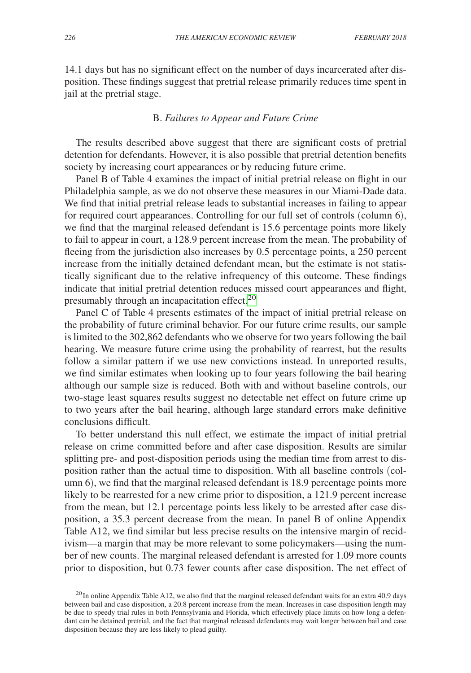14.1 days but has no significant effect on the number of days incarcerated after disposition. These findings suggest that pretrial release primarily reduces time spent in jail at the pretrial stage.

#### B. *Failures to Appear and Future Crime*

The results described above suggest that there are significant costs of pretrial detention for defendants. However, it is also possible that pretrial detention benefits society by increasing court appearances or by reducing future crime.

Panel B of Table 4 examines the impact of initial pretrial release on flight in our Philadelphia sample, as we do not observe these measures in our Miami-Dade data. We find that initial pretrial release leads to substantial increases in failing to appear for required court appearances. Controlling for our full set of controls (column 6), we find that the marginal released defendant is 15.6 percentage points more likely to fail to appear in court, a 128.9 percent increase from the mean. The probability of fleeing from the jurisdiction also increases by 0.5 percentage points, a 250 percent increase from the initially detained defendant mean, but the estimate is not statistically significant due to the relative infrequency of this outcome. These findings indicate that initial pretrial detention reduces missed court appearances and flight, presumably through an incapacitation effect.<sup>20</sup>

Panel C of Table 4 presents estimates of the impact of initial pretrial release on the probability of future criminal behavior. For our future crime results, our sample is limited to the 302,862 defendants who we observe for two years following the bail hearing. We measure future crime using the probability of rearrest, but the results follow a similar pattern if we use new convictions instead. In unreported results, we find similar estimates when looking up to four years following the bail hearing although our sample size is reduced. Both with and without baseline controls, our two-stage least squares results suggest no detectable net effect on future crime up to two years after the bail hearing, although large standard errors make definitive conclusions difficult.

To better understand this null effect, we estimate the impact of initial pretrial release on crime committed before and after case disposition. Results are similar splitting pre- and post-disposition periods using the median time from arrest to disposition rather than the actual time to disposition. With all baseline controls (column 6), we find that the marginal released defendant is 18.9 percentage points more likely to be rearrested for a new crime prior to disposition, a 121.9 percent increase from the mean, but 12.1 percentage points less likely to be arrested after case disposition, a 35.3 percent decrease from the mean. In panel B of online Appendix Table A12, we find similar but less precise results on the intensive margin of recidivism—a margin that may be more relevant to some policymakers—using the number of new counts. The marginal released defendant is arrested for 1.09 more counts prior to disposition, but 0.73 fewer counts after case disposition. The net effect of

<span id="page-25-0"></span><sup>&</sup>lt;sup>20</sup>In online Appendix Table A12, we also find that the marginal released defendant waits for an extra 40.9 days between bail and case disposition, a 20.8 percent increase from the mean. Increases in case disposition length may be due to speedy trial rules in both Pennsylvania and Florida, which effectively place limits on how long a defendant can be detained pretrial, and the fact that marginal released defendants may wait longer between bail and case disposition because they are less likely to plead guilty.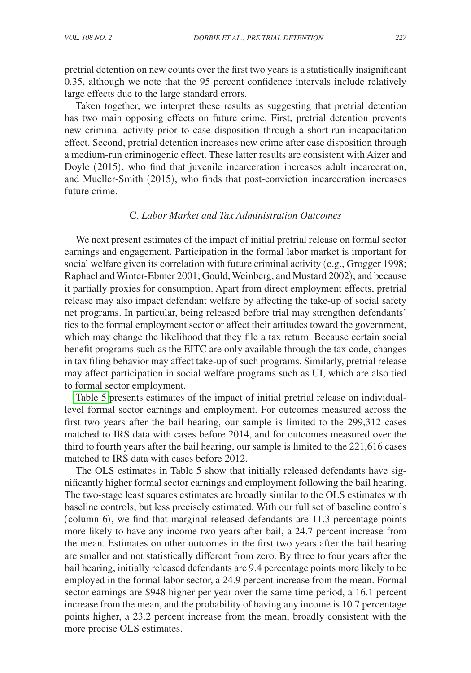pretrial detention on new counts over the first two years is a statistically insignificant 0.35, although we note that the 95 percent confidence intervals include relatively large effects due to the large standard errors.

Taken together, we interpret these results as suggesting that pretrial detention has two main opposing effects on future crime. First, pretrial detention prevents new criminal activity prior to case disposition through a short-run incapacitation effect. Second, pretrial detention increases new crime after case disposition through a medium-run criminogenic effect. These latter results are consistent with Aizer and Doyle (2015), who find that juvenile incarceration increases adult incarceration, and Mueller-Smith (2015), who finds that post-conviction incarceration increases future crime.

# C. *Labor Market and Tax Administration Outcomes*

We next present estimates of the impact of initial pretrial release on formal sector earnings and engagement. Participation in the formal labor market is important for social welfare given its correlation with future criminal activity (e.g., Grogger 1998; Raphael and Winter-Ebmer 2001; Gould, Weinberg, and Mustard 2002), and because it partially proxies for consumption. Apart from direct employment effects, pretrial release may also impact defendant welfare by affecting the take-up of social safety net programs. In particular, being released before trial may strengthen defendants' ties to the formal employment sector or affect their attitudes toward the government, which may change the likelihood that they file a tax return. Because certain social benefit programs such as the EITC are only available through the tax code, changes in tax filing behavior may affect take-up of such programs. Similarly, pretrial release may affect participation in social welfare programs such as UI, which are also tied to formal sector employment.

[Table 5](#page-27-0) presents estimates of the impact of initial pretrial release on individuallevel formal sector earnings and employment. For outcomes measured across the first two years after the bail hearing, our sample is limited to the 299,312 cases matched to IRS data with cases before 2014, and for outcomes measured over the third to fourth years after the bail hearing, our sample is limited to the 221,616 cases matched to IRS data with cases before 2012.

The OLS estimates in Table 5 show that initially released defendants have significantly higher formal sector earnings and employment following the bail hearing. The two-stage least squares estimates are broadly similar to the OLS estimates with baseline controls, but less precisely estimated. With our full set of baseline controls (column 6), we find that marginal released defendants are 11.3 percentage points more likely to have any income two years after bail, a 24.7 percent increase from the mean. Estimates on other outcomes in the first two years after the bail hearing are smaller and not statistically different from zero. By three to four years after the bail hearing, initially released defendants are 9.4 percentage points more likely to be employed in the formal labor sector, a 24.9 percent increase from the mean. Formal sector earnings are \$948 higher per year over the same time period, a 16.1 percent increase from the mean, and the probability of having any income is 10.7 percentage points higher, a 23.2 percent increase from the mean, broadly consistent with the more precise OLS estimates.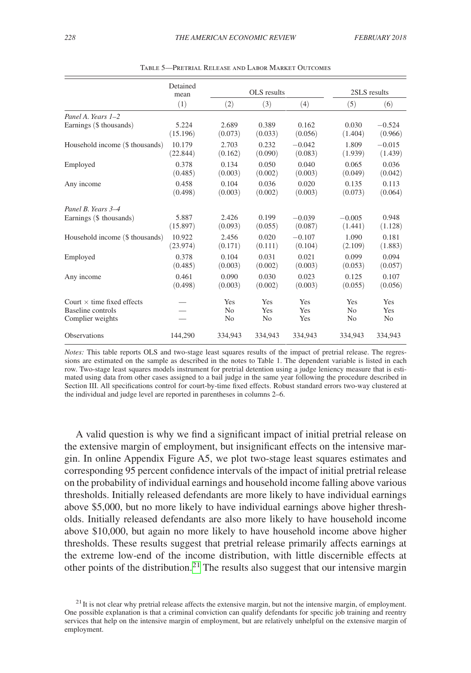<span id="page-27-0"></span>

|                                   | Detained<br>mean |                | OLS results    |          |                | 2SLS results   |  |
|-----------------------------------|------------------|----------------|----------------|----------|----------------|----------------|--|
|                                   | (1)              | (2)            | (3)            | (4)      | (5)            | (6)            |  |
| Panel A. Years 1-2                |                  |                |                |          |                |                |  |
| Earnings (\$ thousands)           | 5.224            | 2.689          | 0.389          | 0.162    | 0.030          | $-0.524$       |  |
|                                   | (15.196)         | (0.073)        | (0.033)        | (0.056)  | (1.404)        | (0.966)        |  |
| Household income (\$ thousands)   | 10.179           | 2.703          | 0.232          | $-0.042$ | 1.809          | $-0.015$       |  |
|                                   | (22.844)         | (0.162)        | (0.090)        | (0.083)  | (1.939)        | (1.439)        |  |
| Employed                          | 0.378            | 0.134          | 0.050          | 0.040    | 0.065          | 0.036          |  |
|                                   | (0.485)          | (0.003)        | (0.002)        | (0.003)  | (0.049)        | (0.042)        |  |
| Any income                        | 0.458            | 0.104          | 0.036          | 0.020    | 0.135          | 0.113          |  |
|                                   | (0.498)          | (0.003)        | (0.002)        | (0.003)  | (0.073)        | (0.064)        |  |
| Panel B. Years 3–4                |                  |                |                |          |                |                |  |
| Earnings (\$ thousands)           | 5.887            | 2.426          | 0.199          | $-0.039$ | $-0.005$       | 0.948          |  |
|                                   | (15.897)         | (0.093)        | (0.055)        | (0.087)  | (1.441)        | (1.128)        |  |
| Household income (\$ thousands)   | 10.922           | 2.456          | 0.020          | $-0.107$ | 1.090          | 0.181          |  |
|                                   | (23.974)         | (0.171)        | (0.111)        | (0.104)  | (2.109)        | (1.883)        |  |
| Employed                          | 0.378            | 0.104          | 0.031          | 0.021    | 0.099          | 0.094          |  |
|                                   | (0.485)          | (0.003)        | (0.002)        | (0.003)  | (0.053)        | (0.057)        |  |
| Any income                        | 0.461            | 0.090          | 0.030          | 0.023    | 0.125          | 0.107          |  |
|                                   | (0.498)          | (0.003)        | (0.002)        | (0.003)  | (0.055)        | (0.056)        |  |
| Court $\times$ time fixed effects |                  | Yes            | Yes            | Yes      | Yes            | Yes            |  |
| Baseline controls                 |                  | N <sub>0</sub> | Yes            | Yes      | N <sub>o</sub> | Yes            |  |
| Complier weights                  |                  | N <sub>0</sub> | N <sub>0</sub> | Yes      | N <sub>0</sub> | N <sub>0</sub> |  |
| <b>Observations</b>               | 144,290          | 334,943        | 334,943        | 334,943  | 334,943        | 334,943        |  |

Table 5—Pretrial Release and Labor Market Outcomes

*Notes:* This table reports OLS and two-stage least squares results of the impact of pretrial release. The regressions are estimated on the sample as described in the notes to Table 1. The dependent variable is listed in each row. Two-stage least squares models instrument for pretrial detention using a judge leniency measure that is estimated using data from other cases assigned to a bail judge in the same year following the procedure described in Section III. All specifications control for court-by-time fixed effects. Robust standard errors two-way clustered at the individual and judge level are reported in parentheses in columns 2–6.

A valid question is why we find a significant impact of initial pretrial release on the extensive margin of employment, but insignificant effects on the intensive margin. In online Appendix Figure A5, we plot two-stage least squares estimates and corresponding 95 percent confidence intervals of the impact of initial pretrial release on the probability of individual earnings and household income falling above various thresholds. Initially released defendants are more likely to have individual earnings above \$5,000, but no more likely to have individual earnings above higher thresholds. Initially released defendants are also more likely to have household income above \$10,000, but again no more likely to have household income above higher thresholds. These results suggest that pretrial release primarily affects earnings at the extreme low-end of the income distribution, with little discernible effects at other points of the distribution.<sup>21</sup> The results also suggest that our intensive margin

<span id="page-27-1"></span> $21$ It is not clear why pretrial release affects the extensive margin, but not the intensive margin, of employment. One possible explanation is that a criminal conviction can qualify defendants for specific job training and reentry services that help on the intensive margin of employment, but are relatively unhelpful on the extensive margin of employment.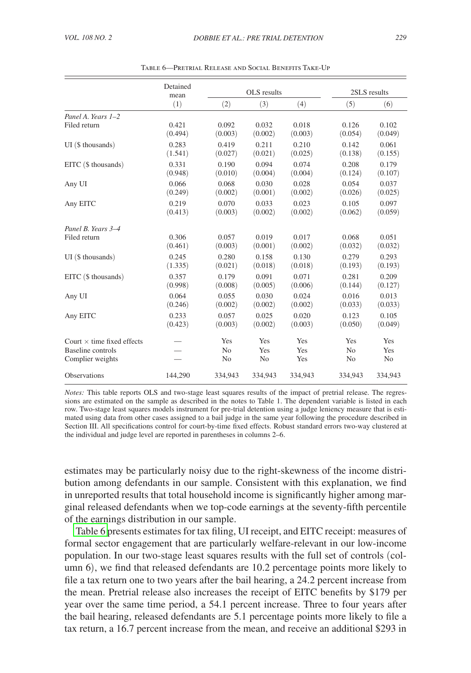|                                   | Detained<br>mean | OLS results    |                |         | 2SLS results   |         |
|-----------------------------------|------------------|----------------|----------------|---------|----------------|---------|
|                                   | (1)              | (2)            | (3)            | (4)     | (5)            | (6)     |
| Panel A. Years 1-2                |                  |                |                |         |                |         |
| Filed return                      | 0.421            | 0.092          | 0.032          | 0.018   | 0.126          | 0.102   |
|                                   | (0.494)          | (0.003)        | (0.002)        | (0.003) | (0.054)        | (0.049) |
| $UI$ (\$ thousands)               | 0.283            | 0.419          | 0.211          | 0.210   | 0.142          | 0.061   |
|                                   | (1.541)          | (0.027)        | (0.021)        | (0.025) | (0.138)        | (0.155) |
| $EITC$ ( $$$ thousands)           | 0.331            | 0.190          | 0.094          | 0.074   | 0.208          | 0.179   |
|                                   | (0.948)          | (0.010)        | (0.004)        | (0.004) | (0.124)        | (0.107) |
| Any UI                            | 0.066            | 0.068          | 0.030          | 0.028   | 0.054          | 0.037   |
|                                   | (0.249)          | (0.002)        | (0.001)        | (0.002) | (0.026)        | (0.025) |
| Any EITC                          | 0.219            | 0.070          | 0.033          | 0.023   | 0.105          | 0.097   |
|                                   | (0.413)          | (0.003)        | (0.002)        | (0.002) | (0.062)        | (0.059) |
| Panel B. Years 3–4                |                  |                |                |         |                |         |
| Filed return                      | 0.306            | 0.057          | 0.019          | 0.017   | 0.068          | 0.051   |
|                                   | (0.461)          | (0.003)        | (0.001)        | (0.002) | (0.032)        | (0.032) |
| $UI$ (\$ thousands)               | 0.245            | 0.280          | 0.158          | 0.130   | 0.279          | 0.293   |
|                                   | (1.335)          | (0.021)        | (0.018)        | (0.018) | (0.193)        | (0.193) |
| EITC (\$ thousands)               | 0.357            | 0.179          | 0.091          | 0.071   | 0.281          | 0.209   |
|                                   | (0.998)          | (0.008)        | (0.005)        | (0.006) | (0.144)        | (0.127) |
| Any UI                            | 0.064            | 0.055          | 0.030          | 0.024   | 0.016          | 0.013   |
|                                   | (0.246)          | (0.002)        | (0.002)        | (0.002) | (0.033)        | (0.033) |
| Any EITC                          | 0.233            | 0.057          | 0.025          | 0.020   | 0.123          | 0.105   |
|                                   | (0.423)          | (0.003)        | (0.002)        | (0.003) | (0.050)        | (0.049) |
| Court $\times$ time fixed effects |                  | Yes            | Yes            | Yes     | <b>Yes</b>     | Yes     |
| Baseline controls                 |                  | N <sub>0</sub> | Yes            | Yes     | N <sub>0</sub> | Yes     |
| Complier weights                  |                  | N <sub>0</sub> | N <sub>0</sub> | Yes     | No             | No      |
| <b>Observations</b>               | 144,290          | 334,943        | 334,943        | 334,943 | 334,943        | 334,943 |

Table 6—Pretrial Release and Social Benefits Take-Up

*Notes:* This table reports OLS and two-stage least squares results of the impact of pretrial release. The regressions are estimated on the sample as described in the notes to Table 1. The dependent variable is listed in each row. Two-stage least squares models instrument for pre-trial detention using a judge leniency measure that is estimated using data from other cases assigned to a bail judge in the same year following the procedure described in Section III. All specifications control for court-by-time fixed effects. Robust standard errors two-way clustered at the individual and judge level are reported in parentheses in columns 2–6.

estimates may be particularly noisy due to the right-skewness of the income distribution among defendants in our sample. Consistent with this explanation, we find in unreported results that total household income is significantly higher among marginal released defendants when we top-code earnings at the seventy-fifth percentile of the earnings distribution in our sample.

Table 6 presents estimates for tax filing, UI receipt, and EITC receipt: measures of formal sector engagement that are particularly welfare-relevant in our low-income population. In our two-stage least squares results with the full set of controls (column 6), we find that released defendants are 10.2 percentage points more likely to file a tax return one to two years after the bail hearing, a 24.2 percent increase from the mean. Pretrial release also increases the receipt of EITC benefits by \$179 per year over the same time period, a 54.1 percent increase. Three to four years after the bail hearing, released defendants are 5.1 percentage points more likely to file a tax return, a 16.7 percent increase from the mean, and receive an additional \$293 in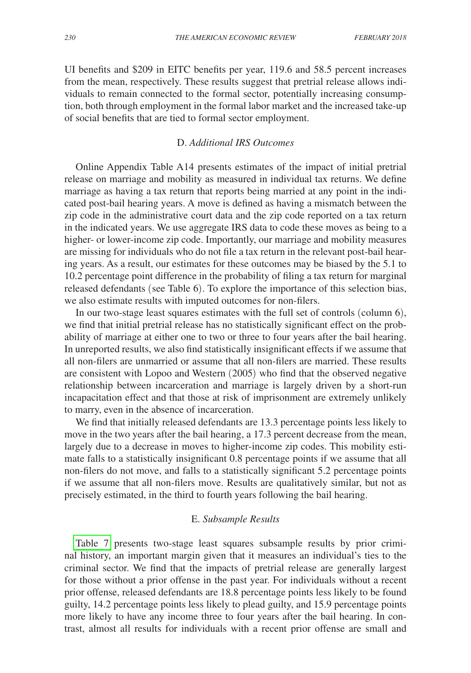UI benefits and \$209 in EITC benefits per year, 119.6 and 58.5 percent increases from the mean, respectively. These results suggest that pretrial release allows individuals to remain connected to the formal sector, potentially increasing consumption, both through employment in the formal labor market and the increased take-up of social benefits that are tied to formal sector employment.

# D. *Additional IRS Outcomes*

Online Appendix Table A14 presents estimates of the impact of initial pretrial release on marriage and mobility as measured in individual tax returns. We define marriage as having a tax return that reports being married at any point in the indicated post-bail hearing years. A move is defined as having a mismatch between the zip code in the administrative court data and the zip code reported on a tax return in the indicated years. We use aggregate IRS data to code these moves as being to a higher- or lower-income zip code. Importantly, our marriage and mobility measures are missing for individuals who do not file a tax return in the relevant post-bail hearing years. As a result, our estimates for these outcomes may be biased by the 5.1 to 10.2 percentage point difference in the probability of filing a tax return for marginal released defendants (see Table 6). To explore the importance of this selection bias, we also estimate results with imputed outcomes for non-filers.

In our two-stage least squares estimates with the full set of controls (column 6), we find that initial pretrial release has no statistically significant effect on the probability of marriage at either one to two or three to four years after the bail hearing. In unreported results, we also find statistically insignificant effects if we assume that all non-filers are unmarried or assume that all non-filers are married. These results are consistent with Lopoo and Western (2005) who find that the observed negative relationship between incarceration and marriage is largely driven by a short-run incapacitation effect and that those at risk of imprisonment are extremely unlikely to marry, even in the absence of incarceration.

We find that initially released defendants are 13.3 percentage points less likely to move in the two years after the bail hearing, a 17.3 percent decrease from the mean, largely due to a decrease in moves to higher-income zip codes. This mobility estimate falls to a statistically insignificant 0.8 percentage points if we assume that all non-filers do not move, and falls to a statistically significant 5.2 percentage points if we assume that all non-filers move. Results are qualitatively similar, but not as precisely estimated, in the third to fourth years following the bail hearing.

#### E. *Subsample Results*

[Table 7](#page-30-0) presents two-stage least squares subsample results by prior criminal history, an important margin given that it measures an individual's ties to the criminal sector. We find that the impacts of pretrial release are generally largest for those without a prior offense in the past year. For individuals without a recent prior offense, released defendants are 18.8 percentage points less likely to be found guilty, 14.2 percentage points less likely to plead guilty, and 15.9 percentage points more likely to have any income three to four years after the bail hearing. In contrast, almost all results for individuals with a recent prior offense are small and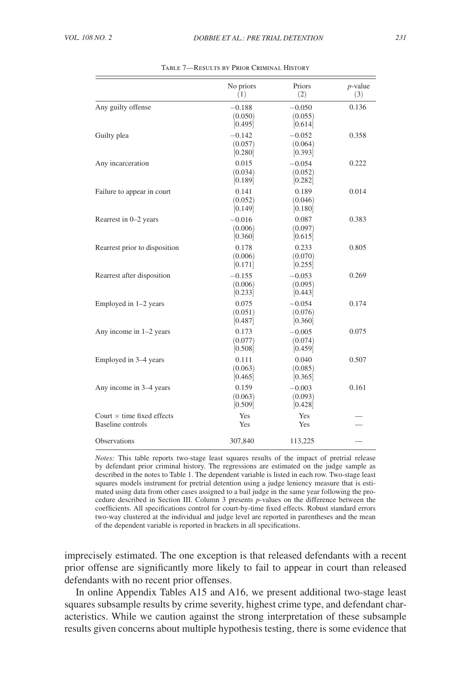<span id="page-30-0"></span>

|                                                               | No priors<br>(1)               | Priors<br>(2)                  | $p$ -value<br>(3) |
|---------------------------------------------------------------|--------------------------------|--------------------------------|-------------------|
| Any guilty offense                                            | $-0.188$<br>(0.050)<br>[0.495] | $-0.050$<br>(0.055)<br>[0.614] |                   |
| Guilty plea                                                   | $-0.142$<br>(0.057)<br>[0.280] | $-0.052$<br>(0.064)<br>[0.393] |                   |
| Any incarceration                                             | 0.015<br>(0.034)<br>[0.189]    | $-0.054$<br>(0.052)<br>[0.282] | 0.222             |
| Failure to appear in court                                    | 0.141<br>(0.052)<br>[0.149]    | 0.189<br>(0.046)<br>[0.180]    | 0.014             |
| Rearrest in 0-2 years                                         | $-0.016$<br>(0.006)<br>[0.360] | 0.087<br>(0.097)<br>[0.615]    | 0.383             |
| Rearrest prior to disposition                                 | 0.178<br>(0.006)<br>[0.171]    | 0.233<br>(0.070)<br>[0.255]    | 0.805             |
| Rearrest after disposition                                    | $-0.155$<br>(0.006)<br>[0.233] | $-0.053$<br>(0.095)<br>[0.443] | 0.269             |
| Employed in $1-2$ years                                       | 0.075<br>(0.051)<br>[0.487]    | $-0.054$<br>(0.076)<br>[0.360] | 0.174             |
| Any income in $1-2$ years                                     | 0.173<br>(0.077)<br>[0.508]    | $-0.005$<br>(0.074)<br>[0.459] | 0.075             |
| Employed in 3–4 years                                         | 0.111<br>(0.063)<br>[0.465]    | 0.040<br>(0.085)<br>[0.365]    | 0.507             |
| Any income in 3–4 years                                       | 0.159<br>(0.063)<br>[0.509]    | $-0.003$<br>(0.093)<br>[0.428] | 0.161             |
| Court $\times$ time fixed effects<br><b>Baseline</b> controls | Yes<br>Yes                     | Yes<br>Yes                     |                   |
| <b>Observations</b>                                           | 307,840                        | 113,225                        |                   |

Table 7—Results by Prior Criminal History

*Notes:* This table reports two-stage least squares results of the impact of pretrial release by defendant prior criminal history. The regressions are estimated on the judge sample as described in the notes to Table 1. The dependent variable is listed in each row. Two-stage least squares models instrument for pretrial detention using a judge leniency measure that is estimated using data from other cases assigned to a bail judge in the same year following the procedure described in Section III. Column 3 presents *p*-values on the difference between the coefficients. All specifications control for court-by-time fixed effects. Robust standard errors two-way clustered at the individual and judge level are reported in parentheses and the mean of the dependent variable is reported in brackets in all specifications.

imprecisely estimated. The one exception is that released defendants with a recent prior offense are significantly more likely to fail to appear in court than released defendants with no recent prior offenses.

In online Appendix Tables A15 and A16, we present additional two-stage least squares subsample results by crime severity, highest crime type, and defendant characteristics. While we caution against the strong interpretation of these subsample results given concerns about multiple hypothesis testing, there is some evidence that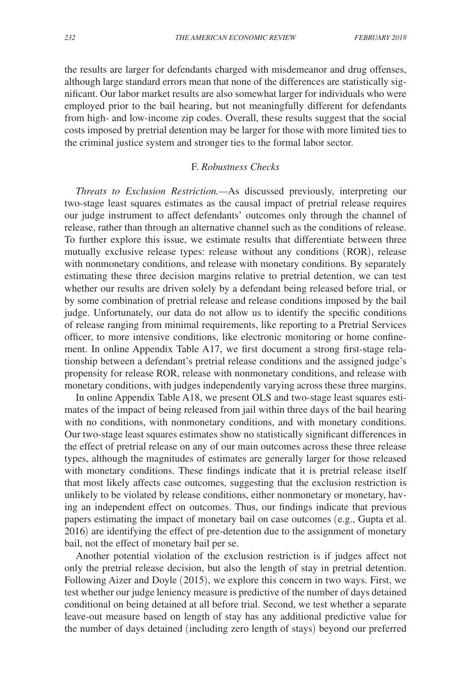the results are larger for defendants charged with misdemeanor and drug offenses, although large standard errors mean that none of the differences are statistically significant. Our labor market results are also somewhat larger for individuals who were employed prior to the bail hearing, but not meaningfully different for defendants from high- and low-income zip codes. Overall, these results suggest that the social costs imposed by pretrial detention may be larger for those with more limited ties to the criminal justice system and stronger ties to the formal labor sector.

# F. *Robustness Checks*

*Threats to Exclusion Restriction.—*As discussed previously, interpreting our two-stage least squares estimates as the causal impact of pretrial release requires our judge instrument to affect defendants' outcomes only through the channel of release, rather than through an alternative channel such as the conditions of release. To further explore this issue, we estimate results that differentiate between three mutually exclusive release types: release without any conditions (ROR), release with nonmonetary conditions, and release with monetary conditions. By separately estimating these three decision margins relative to pretrial detention, we can test whether our results are driven solely by a defendant being released before trial, or by some combination of pretrial release and release conditions imposed by the bail judge. Unfortunately, our data do not allow us to identify the specific conditions of release ranging from minimal requirements, like reporting to a Pretrial Services officer, to more intensive conditions, like electronic monitoring or home confinement. In online Appendix Table A17, we first document a strong first-stage relationship between a defendant's pretrial release conditions and the assigned judge's propensity for release ROR, release with nonmonetary conditions, and release with monetary conditions, with judges independently varying across these three margins.

In online Appendix Table A18, we present OLS and two-stage least squares estimates of the impact of being released from jail within three days of the bail hearing with no conditions, with nonmonetary conditions, and with monetary conditions. Our two-stage least squares estimates show no statistically significant differences in the effect of pretrial release on any of our main outcomes across these three release types, although the magnitudes of estimates are generally larger for those released with monetary conditions. These findings indicate that it is pretrial release itself that most likely affects case outcomes, suggesting that the exclusion restriction is unlikely to be violated by release conditions, either nonmonetary or monetary, having an independent effect on outcomes. Thus, our findings indicate that previous papers estimating the impact of monetary bail on case outcomes (e.g., Gupta et al. 2016) are identifying the effect of pre-detention due to the assignment of monetary bail, not the effect of monetary bail per se.

Another potential violation of the exclusion restriction is if judges affect not only the pretrial release decision, but also the length of stay in pretrial detention. Following Aizer and Doyle (2015), we explore this concern in two ways. First, we test whether our judge leniency measure is predictive of the number of days detained conditional on being detained at all before trial. Second, we test whether a separate leave-out measure based on length of stay has any additional predictive value for the number of days detained (including zero length of stays) beyond our preferred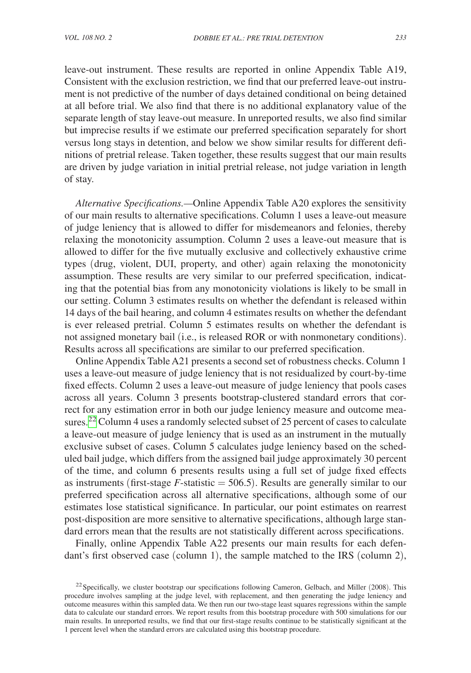leave-out instrument. These results are reported in online Appendix Table A19, Consistent with the exclusion restriction, we find that our preferred leave-out instrument is not predictive of the number of days detained conditional on being detained at all before trial. We also find that there is no additional explanatory value of the separate length of stay leave-out measure. In unreported results, we also find similar but imprecise results if we estimate our preferred specification separately for short versus long stays in detention, and below we show similar results for different definitions of pretrial release. Taken together, these results suggest that our main results are driven by judge variation in initial pretrial release, not judge variation in length of stay.

*Alternative Specifications.—*Online Appendix Table A20 explores the sensitivity of our main results to alternative specifications. Column 1 uses a leave-out measure of judge leniency that is allowed to differ for misdemeanors and felonies, thereby relaxing the monotonicity assumption. Column 2 uses a leave-out measure that is allowed to differ for the five mutually exclusive and collectively exhaustive crime types (drug, violent, DUI, property, and other) again relaxing the monotonicity assumption. These results are very similar to our preferred specification, indicating that the potential bias from any monotonicity violations is likely to be small in our setting. Column 3 estimates results on whether the defendant is released within 14 days of the bail hearing, and column 4 estimates results on whether the defendant is ever released pretrial. Column 5 estimates results on whether the defendant is not assigned monetary bail (i.e., is released ROR or with nonmonetary conditions). Results across all specifications are similar to our preferred specification.

Online Appendix Table A21 presents a second set of robustness checks. Column 1 uses a leave-out measure of judge leniency that is not residualized by court-by-time fixed effects. Column 2 uses a leave-out measure of judge leniency that pools cases across all years. Column 3 presents bootstrap-clustered standard errors that correct for any estimation error in both our judge leniency measure and outcome measures.<sup>22</sup> Column 4 uses a randomly selected subset of 25 percent of cases to calculate a leave-out measure of judge leniency that is used as an instrument in the mutually exclusive subset of cases. Column 5 calculates judge leniency based on the scheduled bail judge, which differs from the assigned bail judge approximately 30 percent of the time, and column 6 presents results using a full set of judge fixed effects as instruments (first-stage  $F$ -statistic  $=$  506.5). Results are generally similar to our preferred specification across all alternative specifications, although some of our estimates lose statistical significance. In particular, our point estimates on rearrest post-disposition are more sensitive to alternative specifications, although large standard errors mean that the results are not statistically different across specifications.

Finally, online Appendix Table A22 presents our main results for each defendant's first observed case (column 1), the sample matched to the IRS (column 2),

<span id="page-32-0"></span> $22$  Specifically, we cluster bootstrap our specifications following Cameron, Gelbach, and Miller (2008). This procedure involves sampling at the judge level, with replacement, and then generating the judge leniency and outcome measures within this sampled data. We then run our two-stage least squares regressions within the sample data to calculate our standard errors. We report results from this bootstrap procedure with 500 simulations for our main results. In unreported results, we find that our first-stage results continue to be statistically significant at the 1 percent level when the standard errors are calculated using this bootstrap procedure.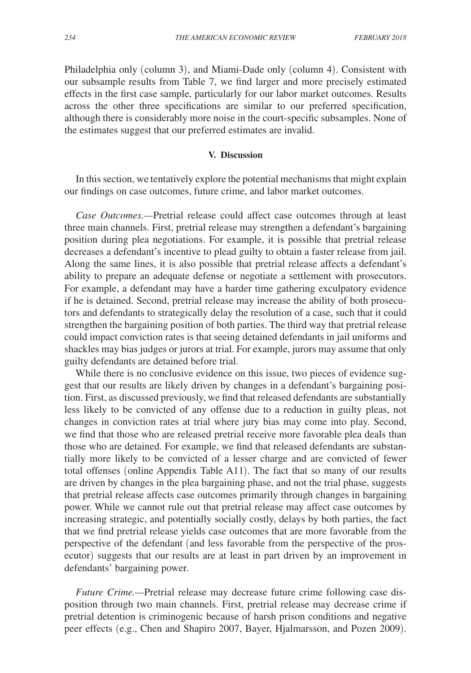Philadelphia only (column 3), and Miami-Dade only (column 4). Consistent with our subsample results from Table 7, we find larger and more precisely estimated effects in the first case sample, particularly for our labor market outcomes. Results across the other three specifications are similar to our preferred specification, although there is considerably more noise in the court-specific subsamples. None of the estimates suggest that our preferred estimates are invalid.

#### **V. Discussion**

In this section, we tentatively explore the potential mechanisms that might explain our findings on case outcomes, future crime, and labor market outcomes.

*Case Outcomes.—*Pretrial release could affect case outcomes through at least three main channels. First, pretrial release may strengthen a defendant's bargaining position during plea negotiations. For example, it is possible that pretrial release decreases a defendant's incentive to plead guilty to obtain a faster release from jail. Along the same lines, it is also possible that pretrial release affects a defendant's ability to prepare an adequate defense or negotiate a settlement with prosecutors. For example, a defendant may have a harder time gathering exculpatory evidence if he is detained. Second, pretrial release may increase the ability of both prosecutors and defendants to strategically delay the resolution of a case, such that it could strengthen the bargaining position of both parties. The third way that pretrial release could impact conviction rates is that seeing detained defendants in jail uniforms and shackles may bias judges or jurors at trial. For example, jurors may assume that only guilty defendants are detained before trial.

While there is no conclusive evidence on this issue, two pieces of evidence suggest that our results are likely driven by changes in a defendant's bargaining position. First, as discussed previously, we find that released defendants are substantially less likely to be convicted of any offense due to a reduction in guilty pleas, not changes in conviction rates at trial where jury bias may come into play. Second, we find that those who are released pretrial receive more favorable plea deals than those who are detained. For example, we find that released defendants are substantially more likely to be convicted of a lesser charge and are convicted of fewer total offenses (online Appendix Table A11). The fact that so many of our results are driven by changes in the plea bargaining phase, and not the trial phase, suggests that pretrial release affects case outcomes primarily through changes in bargaining power. While we cannot rule out that pretrial release may affect case outcomes by increasing strategic, and potentially socially costly, delays by both parties, the fact that we find pretrial release yields case outcomes that are more favorable from the perspective of the defendant (and less favorable from the perspective of the prosecutor) suggests that our results are at least in part driven by an improvement in defendants' bargaining power.

*Future Crime.*—Pretrial release may decrease future crime following case disposition through two main channels. First, pretrial release may decrease crime if pretrial detention is criminogenic because of harsh prison conditions and negative peer effects (e.g., Chen and Shapiro 2007, Bayer, Hjalmarsson, and Pozen 2009).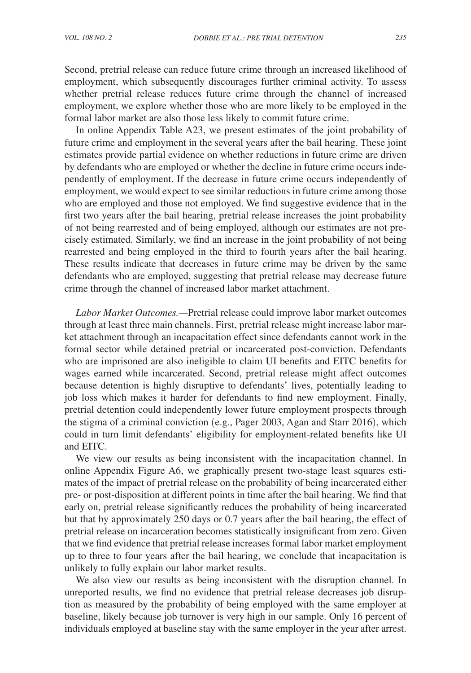Second, pretrial release can reduce future crime through an increased likelihood of employment, which subsequently discourages further criminal activity. To assess whether pretrial release reduces future crime through the channel of increased employment, we explore whether those who are more likely to be employed in the formal labor market are also those less likely to commit future crime.

In online Appendix Table A23, we present estimates of the joint probability of future crime and employment in the several years after the bail hearing. These joint estimates provide partial evidence on whether reductions in future crime are driven by defendants who are employed or whether the decline in future crime occurs independently of employment. If the decrease in future crime occurs independently of employment, we would expect to see similar reductions in future crime among those who are employed and those not employed. We find suggestive evidence that in the first two years after the bail hearing, pretrial release increases the joint probability of not being rearrested and of being employed, although our estimates are not precisely estimated. Similarly, we find an increase in the joint probability of not being rearrested and being employed in the third to fourth years after the bail hearing. These results indicate that decreases in future crime may be driven by the same defendants who are employed, suggesting that pretrial release may decrease future crime through the channel of increased labor market attachment.

*Labor Market Outcomes.—*Pretrial release could improve labor market outcomes through at least three main channels. First, pretrial release might increase labor market attachment through an incapacitation effect since defendants cannot work in the formal sector while detained pretrial or incarcerated post-conviction. Defendants who are imprisoned are also ineligible to claim UI benefits and EITC benefits for wages earned while incarcerated. Second, pretrial release might affect outcomes because detention is highly disruptive to defendants' lives, potentially leading to job loss which makes it harder for defendants to find new employment. Finally, pretrial detention could independently lower future employment prospects through the stigma of a criminal conviction (e.g., Pager 2003, Agan and Starr 2016), which could in turn limit defendants' eligibility for employment-related benefits like UI and EITC.

We view our results as being inconsistent with the incapacitation channel. In online Appendix Figure A6, we graphically present two-stage least squares estimates of the impact of pretrial release on the probability of being incarcerated either pre- or post-disposition at different points in time after the bail hearing. We find that early on, pretrial release significantly reduces the probability of being incarcerated but that by approximately 250 days or 0.7 years after the bail hearing, the effect of pretrial release on incarceration becomes statistically insignificant from zero. Given that we find evidence that pretrial release increases formal labor market employment up to three to four years after the bail hearing, we conclude that incapacitation is unlikely to fully explain our labor market results.

We also view our results as being inconsistent with the disruption channel. In unreported results, we find no evidence that pretrial release decreases job disruption as measured by the probability of being employed with the same employer at baseline, likely because job turnover is very high in our sample. Only 16 percent of individuals employed at baseline stay with the same employer in the year after arrest.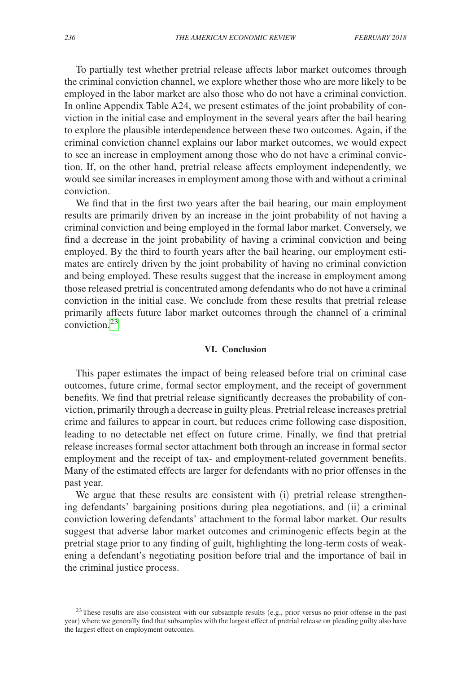To partially test whether pretrial release affects labor market outcomes through the criminal conviction channel, we explore whether those who are more likely to be employed in the labor market are also those who do not have a criminal conviction. In online Appendix Table A24, we present estimates of the joint probability of conviction in the initial case and employment in the several years after the bail hearing to explore the plausible interdependence between these two outcomes. Again, if the criminal conviction channel explains our labor market outcomes, we would expect to see an increase in employment among those who do not have a criminal conviction. If, on the other hand, pretrial release affects employment independently, we would see similar increases in employment among those with and without a criminal conviction.

We find that in the first two years after the bail hearing, our main employment results are primarily driven by an increase in the joint probability of not having a criminal conviction and being employed in the formal labor market. Conversely, we find a decrease in the joint probability of having a criminal conviction and being employed. By the third to fourth years after the bail hearing, our employment estimates are entirely driven by the joint probability of having no criminal conviction and being employed. These results suggest that the increase in employment among those released pretrial is concentrated among defendants who do not have a criminal conviction in the initial case. We conclude from these results that pretrial release primarily affects future labor market outcomes through the channel of a criminal conviction.[23](#page-35-0)

#### **VI. Conclusion**

This paper estimates the impact of being released before trial on criminal case outcomes, future crime, formal sector employment, and the receipt of government benefits. We find that pretrial release significantly decreases the probability of conviction, primarily through a decrease in guilty pleas. Pretrial release increases pretrial crime and failures to appear in court, but reduces crime following case disposition, leading to no detectable net effect on future crime. Finally, we find that pretrial release increases formal sector attachment both through an increase in formal sector employment and the receipt of tax- and employment-related government benefits. Many of the estimated effects are larger for defendants with no prior offenses in the past year.

We argue that these results are consistent with (i) pretrial release strengthening defendants' bargaining positions during plea negotiations, and (ii) a criminal conviction lowering defendants' attachment to the formal labor market. Our results suggest that adverse labor market outcomes and criminogenic effects begin at the pretrial stage prior to any finding of guilt, highlighting the long-term costs of weakening a defendant's negotiating position before trial and the importance of bail in the criminal justice process.

<span id="page-35-0"></span> $23$  These results are also consistent with our subsample results (e.g., prior versus no prior offense in the past year) where we generally find that subsamples with the largest effect of pretrial release on pleading guilty also have the largest effect on employment outcomes.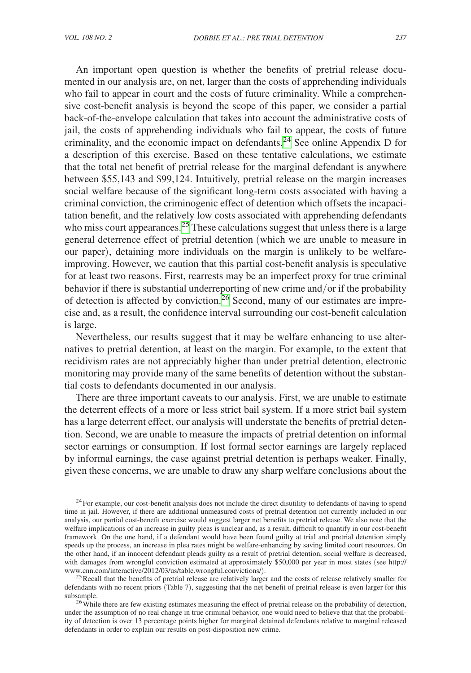An important open question is whether the benefits of pretrial release documented in our analysis are, on net, larger than the costs of apprehending individuals who fail to appear in court and the costs of future criminality. While a comprehensive cost-benefit analysis is beyond the scope of this paper, we consider a partial back-of-the-envelope calculation that takes into account the administrative costs of jail, the costs of apprehending individuals who fail to appear, the costs of future criminality, and the economic impact on defendants.<sup>[24](#page-36-0)</sup> See online Appendix D for a description of this exercise. Based on these tentative calculations, we estimate that the total net benefit of pretrial release for the marginal defendant is anywhere between \$55,143 and \$99,124. Intuitively, pretrial release on the margin increases social welfare because of the significant long-term costs associated with having a criminal conviction, the criminogenic effect of detention which offsets the incapacitation benefit, and the relatively low costs associated with apprehending defendants who miss court appearances.<sup>25</sup> These calculations suggest that unless there is a large general deterrence effect of pretrial detention (which we are unable to measure in our paper), detaining more individuals on the margin is unlikely to be welfareimproving. However, we caution that this partial cost-benefit analysis is speculative for at least two reasons. First, rearrests may be an imperfect proxy for true criminal behavior if there is substantial underreporting of new crime and/or if the probability of detection is affected by conviction.<sup>26</sup> Second, many of our estimates are imprecise and, as a result, the confidence interval surrounding our cost-benefit calculation is large.

Nevertheless, our results suggest that it may be welfare enhancing to use alternatives to pretrial detention, at least on the margin. For example, to the extent that recidivism rates are not appreciably higher than under pretrial detention, electronic monitoring may provide many of the same benefits of detention without the substantial costs to defendants documented in our analysis.

There are three important caveats to our analysis. First, we are unable to estimate the deterrent effects of a more or less strict bail system. If a more strict bail system has a large deterrent effect, our analysis will understate the benefits of pretrial detention. Second, we are unable to measure the impacts of pretrial detention on informal sector earnings or consumption. If lost formal sector earnings are largely replaced by informal earnings, the case against pretrial detention is perhaps weaker. Finally, given these concerns, we are unable to draw any sharp welfare conclusions about the

<span id="page-36-1"></span> $25$  Recall that the benefits of pretrial release are relatively larger and the costs of release relatively smaller for defendants with no recent priors (Table 7), suggesting that the net benefit of pretrial release is even larger for this

<span id="page-36-2"></span> $26$  While there are few existing estimates measuring the effect of pretrial release on the probability of detection, under the assumption of no real change in true criminal behavior, one would need to believe that that the probability of detection is over 13 percentage points higher for marginal detained defendants relative to marginal released defendants in order to explain our results on post-disposition new crime.

<span id="page-36-0"></span> $24$  For example, our cost-benefit analysis does not include the direct disutility to defendants of having to spend time in jail. However, if there are additional unmeasured costs of pretrial detention not currently included in our analysis, our partial cost-benefit exercise would suggest larger net benefits to pretrial release. We also note that the welfare implications of an increase in guilty pleas is unclear and, as a result, difficult to quantify in our cost-benefit framework. On the one hand, if a defendant would have been found guilty at trial and pretrial detention simply speeds up the process, an increase in plea rates might be welfare-enhancing by saving limited court resources. On the other hand, if an innocent defendant pleads guilty as a result of pretrial detention, social welfare is decreased, with damages from wrongful conviction estimated at approximately \$50,000 per year in most states (see [http://](http://www.cnn.com/interactive/2012/03/us/table.wrongful.convictions/)<br>www.cnn.com/interactive/2012/03/us/table.wrongful.convictions/).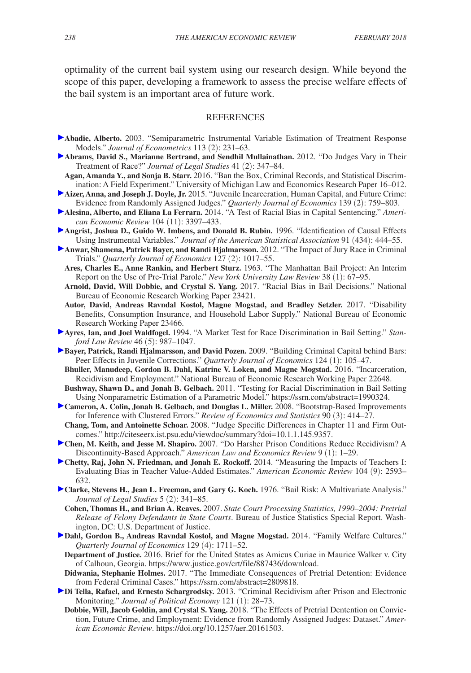optimality of the current bail system using our research design. While beyond the scope of this paper, developing a framework to assess the precise welfare effects of the bail system is an important area of future work.

#### **REFERENCES**

- **Abadie, Alberto.** 2003. "Semiparametric Instrumental Variable Estimation of Treatment Response Models." *Journal of Econometrics* 113 (2): 231–63.
- **Abrams, David S., Marianne Bertrand, and Sendhil Mullainathan.** 2012. "Do Judges Vary in Their Treatment of Race?" *Journal of Legal Studies* 41 (2): 347–84.
- **Agan, Amanda Y., and Sonja B. Starr.** 2016. "Ban the Box, Criminal Records, and Statistical Discrimination: A Field Experiment." University of Michigan Law and Economics Research Paper 16–012.
- **Aizer, Anna, and Joseph J. Doyle, Jr.** 2015. "Juvenile Incarceration, Human Capital, and Future Crime: Evidence from Randomly Assigned Judges." *Quarterly Journal of Economics* 139 (2): 759–803.
- **Alesina, Alberto, and Eliana La Ferrara.** 2014. "A Test of Racial Bias in Capital Sentencing." *American Economic Review* 104 (11): 3397–433.
- **Angrist, Joshua D., Guido W. Imbens, and Donald B. Rubin.** 1996. "Identification of Causal Effects Using Instrumental Variables." *Journal of the American Statistical Association* 91 (434): 444–55.
- **Anwar, Shamena, Patrick Bayer, and Randi Hjalmarsson.** 2012. "The Impact of Jury Race in Criminal Trials." *Quarterly Journal of Economics* 127 (2): 1017–55.
	- **Ares, Charles E., Anne Rankin, and Herbert Sturz.** 1963. "The Manhattan Bail Project: An Interim Report on the Use of Pre-Trial Parole." *New York University Law Review* 38 (1): 67–95.
	- **Arnold, David, Will Dobbie, and Crystal S. Yang.** 2017. "Racial Bias in Bail Decisions." National Bureau of Economic Research Working Paper 23421.
- **Autor, David, Andreas Ravndal Kostol, Magne Mogstad, and Bradley Setzler.** 2017. "Disability Benefits, Consumption Insurance, and Household Labor Supply." National Bureau of Economic Research Working Paper 23466.
- **Ayres, Ian, and Joel Waldfogel.** 1994. "A Market Test for Race Discrimination in Bail Setting." *Stanford Law Review* 46 (5): 987–1047.
- **Bayer, Patrick, Randi Hjalmarsson, and David Pozen.** 2009. "Building Criminal Capital behind Bars: Peer Effects in Juvenile Corrections." *Quarterly Journal of Economics* 124 (1): 105–47.
	- **Bhuller, Manudeep, Gordon B. Dahl, Katrine V. Loken, and Magne Mogstad.** 2016. "Incarceration, Recidivism and Employment." National Bureau of Economic Research Working Paper 22648.
- **Bushway, Shawn D., and Jonah B. Gelbach.** 2011. "Testing for Racial Discrimination in Bail Setting Using Nonparametric Estimation of a Parametric Model." <https://ssrn.com/abstract=1990324>.
- **Cameron, A. Colin, Jonah B. Gelbach, and Douglas L. Miller.** 2008. "Bootstrap-Based Improvements for Inference with Clustered Errors." *Review of Economics and Statistics* 90 (3): 414–27.
- **Chang, Tom, and Antoinette Schoar.** 2008. "Judge Specific Differences in Chapter 11 and Firm Outcomes." <http://citeseerx.ist.psu.edu/viewdoc/summary?doi=10.1.1.145.9357.>
- **Chen, M. Keith, and Jesse M. Shapiro.** 2007. "Do Harsher Prison Conditions Reduce Recidivism? A Discontinuity-Based Approach." *American Law and Economics Review* 9 (1): 1–29.
- **Chetty, Raj, John N. Friedman, and Jonah E. Rockoff.** 2014. "Measuring the Impacts of Teachers I: Evaluating Bias in Teacher Value-Added Estimates." *American Economic Review* 104 (9): 2593– 632.
- **Clarke, Stevens H., Jean L. Freeman, and Gary G. Koch.** 1976. "Bail Risk: A Multivariate Analysis." *Journal of Legal Studies* 5 (2): 341–85.
	- **Cohen, Thomas H., and Brian A. Reaves.** 2007. *State Court Processing Statistics, 1990–2004: Pretrial Release of Felony Defendants in State Courts*. Bureau of Justice Statistics Special Report. Washington, DC: U.S. Department of Justice.
- **Dahl, Gordon B., Andreas Ravndal Kostol, and Magne Mogstad.** 2014. "Family Welfare Cultures." *Quarterly Journal of Economics* 129 (4): 1711–52.
- **Department of Justice.** 2016. Brief for the United States as Amicus Curiae in Maurice Walker v. City of Calhoun, Georgia.<https://www.justice.gov/crt/file/887436/download>.
- **Didwania, Stephanie Holmes.** 2017. "The Immediate Consequences of Pretrial Detention: Evidence from Federal Criminal Cases." [https://ssrn.com/abstract=2809818.](https://ssrn.com/abstract=2809818)
- **Di Tella, Rafael, and Ernesto Schargrodsky.** 2013. "Criminal Recidivism after Prison and Electronic Monitoring." *Journal of Political Economy* 121 (1): 28–73.
- **Dobbie, Will, Jacob Goldin, and Crystal S. Yang.** 2018. "The Effects of Pretrial Dentention on Conviction, Future Crime, and Employment: Evidence from Randomly Assigned Judges: Dataset." *American Economic Review*.<https://doi.org/10.1257/aer.20161503>.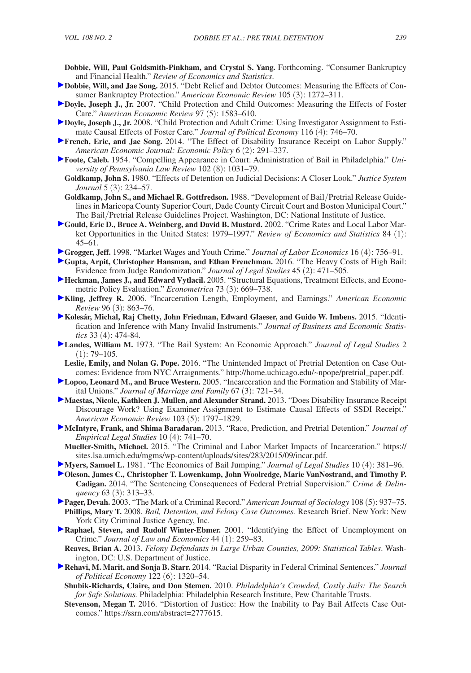- **Dobbie, Will, Paul Goldsmith-Pinkham, and Crystal S. Yang.** Forthcoming. "Consumer Bankruptcy and Financial Health." *Review of Economics and Statistics*.
- **Dobbie, Will, and Jae Song.** 2015. "Debt Relief and Debtor Outcomes: Measuring the Effects of Consumer Bankruptcy Protection." *American Economic Review* 105 (3): 1272–311.
- **Doyle, Joseph J., Jr.** 2007. "Child Protection and Child Outcomes: Measuring the Effects of Foster Care." *American Economic Review* 97 (5): 1583–610.
- **Doyle, Joseph J., Jr. 2008. "Child Protection and Adult Crime: Using Investigator Assignment to Esti**mate Causal Effects of Foster Care." *Journal of Political Economy* 116 (4): 746–70.
- **French, Eric, and Jae Song.** 2014. "The Effect of Disability Insurance Receipt on Labor Supply." *American Economic Journal: Economic Policy* 6 (2): 291–337.
- **Foote, Caleb.** 1954. "Compelling Appearance in Court: Administration of Bail in Philadelphia." *University of Pennsylvania Law Review* 102 (8): 1031–79.
- **Goldkamp, John S.** 1980. "Effects of Detention on Judicial Decisions: A Closer Look." *Justice System Journal* 5 (3): 234–57.
- **Goldkamp, John S., and Michael R. Gottfredson.** 1988. "Development of Bail/Pretrial Release Guidelines in Maricopa County Superior Court, Dade County Circuit Court and Boston Municipal Court." The Bail/Pretrial Release Guidelines Project. Washington, DC: National Institute of Justice.
- **Gould, Eric D., Bruce A. Weinberg, and David B. Mustard.** 2002. "Crime Rates and Local Labor Market Opportunities in the United States: 1979–1997." *Review of Economics and Statistics* 84 (1): 45–61.
- **Grogger, Jeff.** 1998. "Market Wages and Youth Crime." *Journal of Labor Economics* 16 (4): 756–91.
- **Gupta, Arpit, Christopher Hansman, and Ethan Frenchman.** 2016. "The Heavy Costs of High Bail: Evidence from Judge Randomization." *Journal of Legal Studies* 45 (2): 471–505.
- **Heckman, James J., and Edward Vytlacil.** 2005. "Structural Equations, Treatment Effects, and Econometric Policy Evaluation." *Econometrica* 73 (3): 669–738.
- **Kling, Jeffrey R.** 2006. "Incarceration Length, Employment, and Earnings." *American Economic Review* 96 (3): 863–76.
- **Kolesár, Michal, Raj Chetty, John Friedman, Edward Glaeser, and Guido W. Imbens.** 2015. "Identification and Inference with Many Invalid Instruments." *Journal of Business and Economic Statistics* 33 (4): 474-84.
- **Landes, William M.** 1973. "The Bail System: An Economic Approach." *Journal of Legal Studies* 2  $(1): 79-105.$
- **Leslie, Emily, and Nolan G. Pope.** 2016. "The Unintended Impact of Pretrial Detention on Case Outcomes: Evidence from NYC Arraignments." [http://home.uchicago.edu/~npope/pretrial\\_paper.pdf](http://home.uchicago.edu/~npope/pretrial_paper.pdf).
- **Lopoo, Leonard M., and Bruce Western.** 2005. "Incarceration and the Formation and Stability of Marital Unions." *Journal of Marriage and Family* 67 (3): 721–34.
- **Maestas, Nicole, Kathleen J. Mullen, and Alexander Strand.** 2013. "Does Disability Insurance Receipt Discourage Work? Using Examiner Assignment to Estimate Causal Effects of SSDI Receipt." *American Economic Review* 103 (5): 1797–1829.
- **McIntyre, Frank, and Shima Baradaran.** 2013. "Race, Prediction, and Pretrial Detention." *Journal of Empirical Legal Studies* 10 (4): 741–70.
- **Mueller-Smith, Michael.** 2015. "The Criminal and Labor Market Impacts of Incarceration." [https://](https://sites.lsa.umich.edu/mgms/wp-content/uploads/sites/283/2015/09/incar.pdf) [sites.lsa.umich.edu/mgms/wp-content/uploads/sites/283/2015/09/incar.pdf](https://sites.lsa.umich.edu/mgms/wp-content/uploads/sites/283/2015/09/incar.pdf).
- **Myers, Samuel L.** 1981. "The Economics of Bail Jumping." *Journal of Legal Studies* 10 (4): 381–96.
- **Oleson, James C., Christopher T. Lowenkamp, John Woolredge, Marie VanNostrand, and Timothy P. Cadigan.** 2014. "The Sentencing Consequences of Federal Pretrial Supervision." *Crime & Delinquency* 63 (3): 313–33.
- **Pager, Devah.** 2003. "The Mark of a Criminal Record." *American Journal of Sociology* 108 (5): 937–75. **Phillips, Mary T.** 2008. *Bail, Detention, and Felony Case Outcomes.* Research Brief. New York: New York City Criminal Justice Agency, Inc.
- **Raphael, Steven, and Rudolf Winter-Ebmer.** 2001. "Identifying the Effect of Unemployment on Crime." *Journal of Law and Economics* 44 (1): 259–83.
- **Reaves, Brian A.** 2013. *Felony Defendants in Large Urban Counties, 2009: Statistical Tables*. Washington, DC: U.S. Department of Justice.
- **Rehavi, M. Marit, and Sonja B. Starr.** 2014. "Racial Disparity in Federal Criminal Sentences." *Journal of Political Economy* 122 (6): 1320–54.
- **Shubik-Richards, Claire, and Don Stemen.** 2010. *Philadelphia's Crowded, Costly Jails: The Search for Safe Solutions.* Philadelphia: Philadelphia Research Institute, Pew Charitable Trusts.
- **Stevenson, Megan T.** 2016. "Distortion of Justice: How the Inability to Pay Bail Affects Case Outcomes." <https://ssrn.com/abstract=2777615>.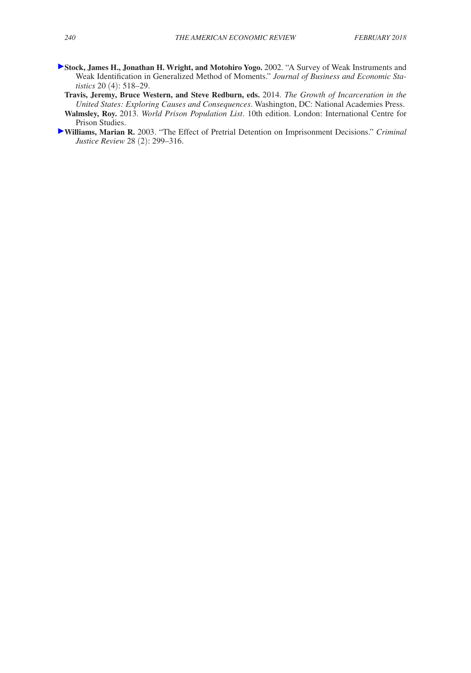- **Stock, James H., Jonathan H. Wright, and Motohiro Yogo.** 2002. "A Survey of Weak Instruments and Weak Identification in Generalized Method of Moments." *Journal of Business and Economic Statistics* 20 (4): 518–29.
- **Travis, Jeremy, Bruce Western, and Steve Redburn, eds.** 2014. *The Growth of Incarceration in the United States: Exploring Causes and Consequences*. Washington, DC: National Academies Press. **Walmsley, Roy.** 2013. *World Prison Population List*. 10th edition. London: International Centre for Prison Studies.
- **Williams, Marian R.** 2003. "The Effect of Pretrial Detention on Imprisonment Decisions." *Criminal Justice Review* 28 (2): 299–316.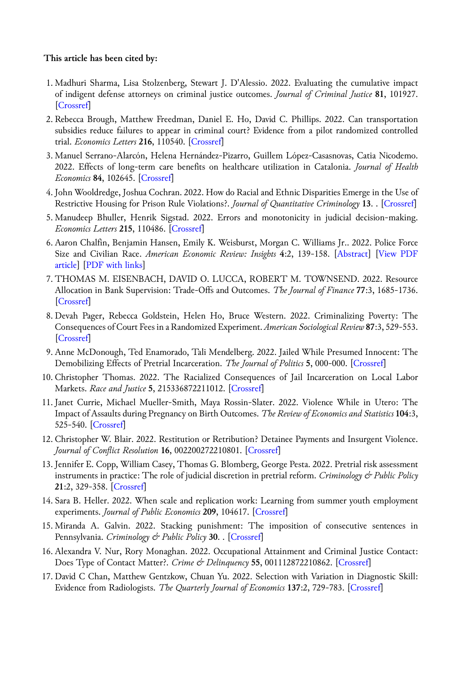# **This article has been cited by:**

- 1. Madhuri Sharma, Lisa Stolzenberg, Stewart J. D'Alessio. 2022. Evaluating the cumulative impact of indigent defense attorneys on criminal justice outcomes. *Journal of Criminal Justice* **81**, 101927. [\[Crossref](https://doi.org/10.1016/j.jcrimjus.2022.101927)]
- 2. Rebecca Brough, Matthew Freedman, Daniel E. Ho, David C. Phillips. 2022. Can transportation subsidies reduce failures to appear in criminal court? Evidence from a pilot randomized controlled trial. *Economics Letters* **216**, 110540. [[Crossref\]](https://doi.org/10.1016/j.econlet.2022.110540)
- 3. Manuel Serrano-Alarcón, Helena Hernández-Pizarro, Guillem López-Casasnovas, Catia Nicodemo. 2022. Effects of long-term care benefits on healthcare utilization in Catalonia. *Journal of Health Economics* **84**, 102645. [\[Crossref](https://doi.org/10.1016/j.jhealeco.2022.102645)]
- 4. John Wooldredge, Joshua Cochran. 2022. How do Racial and Ethnic Disparities Emerge in the Use of Restrictive Housing for Prison Rule Violations?. *Journal of Quantitative Criminology* **13**. . [[Crossref\]](https://doi.org/10.1007/s10940-022-09548-7)
- 5. Manudeep Bhuller, Henrik Sigstad. 2022. Errors and monotonicity in judicial decision-making. *Economics Letters* **215**, 110486. [[Crossref\]](https://doi.org/10.1016/j.econlet.2022.110486)
- 6. Aaron Chalfin, Benjamin Hansen, Emily K. Weisburst, Morgan C. Williams Jr.. 2022. Police Force Size and Civilian Race. *American Economic Review: Insights* **4**:2, 139-158. [[Abstract\]](https://doi.org/10.1257/aeri.20200792) [\[View PDF](http://pubs.aeaweb.org/doi/pdf/10.1257/aeri.20200792) [article](http://pubs.aeaweb.org/doi/pdf/10.1257/aeri.20200792)] [\[PDF with links](http://pubs.aeaweb.org/doi/pdfplus/10.1257/aeri.20200792)]
- 7. THOMAS M. EISENBACH, DAVID O. LUCCA, ROBERT M. TOWNSEND. 2022. Resource Allocation in Bank Supervision: Trade‐Offs and Outcomes. *The Journal of Finance* **77**:3, 1685-1736. [\[Crossref](https://doi.org/10.1111/jofi.13127)]
- 8.Devah Pager, Rebecca Goldstein, Helen Ho, Bruce Western. 2022. Criminalizing Poverty: The Consequences of Court Fees in a Randomized Experiment. *American Sociological Review* **87**:3, 529-553. [\[Crossref](https://doi.org/10.1177/00031224221075783)]
- 9. Anne McDonough, Ted Enamorado, Tali Mendelberg. 2022. Jailed While Presumed Innocent: The Demobilizing Effects of Pretrial Incarceration. *The Journal of Politics* **5**, 000-000. [\[Crossref](https://doi.org/10.1086/719006)]
- 10. Christopher Thomas. 2022. The Racialized Consequences of Jail Incarceration on Local Labor Markets. *Race and Justice* **5**, 215336872211012. [\[Crossref](https://doi.org/10.1177/21533687221101209)]
- 11. Janet Currie, Michael Mueller-Smith, Maya Rossin-Slater. 2022. Violence While in Utero: The Impact of Assaults during Pregnancy on Birth Outcomes. *The Review of Economics and Statistics* **104**:3, 525-540. [\[Crossref\]](https://doi.org/10.1162/rest_a_00965)
- 12. Christopher W. Blair. 2022. Restitution or Retribution? Detainee Payments and Insurgent Violence. *Journal of Conflict Resolution* **16**, 002200272210801. [\[Crossref](https://doi.org/10.1177/00220027221080118)]
- 13. Jennifer E. Copp, William Casey, Thomas G. Blomberg, George Pesta. 2022. Pretrial risk assessment instruments in practice: The role of judicial discretion in pretrial reform. *Criminology & Public Policy* **21**:2, 329-358. [[Crossref\]](https://doi.org/10.1111/1745-9133.12575)
- 14. Sara B. Heller. 2022. When scale and replication work: Learning from summer youth employment experiments. *Journal of Public Economics* **209**, 104617. [\[Crossref](https://doi.org/10.1016/j.jpubeco.2022.104617)]
- 15. Miranda A. Galvin. 2022. Stacking punishment: The imposition of consecutive sentences in Pennsylvania. *Criminology & Public Policy* **30**. . [[Crossref\]](https://doi.org/10.1111/1745-9133.12587)
- 16. Alexandra V. Nur, Rory Monaghan. 2022. Occupational Attainment and Criminal Justice Contact: Does Type of Contact Matter?. *Crime & Delinquency* **55**, 001112872210862. [\[Crossref](https://doi.org/10.1177/00111287221086270)]
- 17.David C Chan, Matthew Gentzkow, Chuan Yu. 2022. Selection with Variation in Diagnostic Skill: Evidence from Radiologists. *The Quarterly Journal of Economics* **137**:2, 729-783. [[Crossref](https://doi.org/10.1093/qje/qjab048)]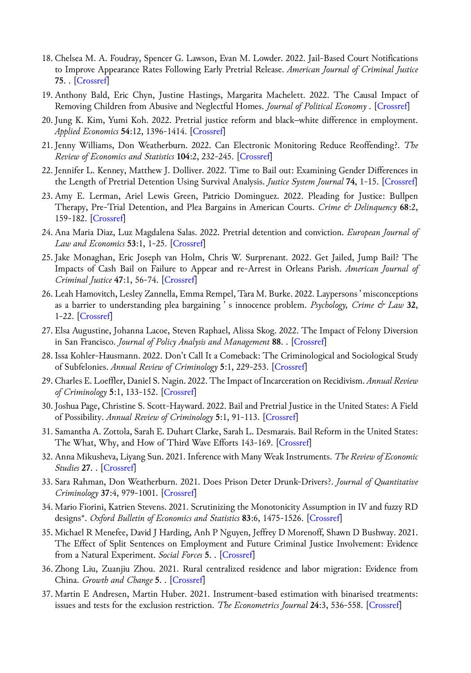- 18. Chelsea M. A. Foudray, Spencer G. Lawson, Evan M. Lowder. 2022. Jail-Based Court Notifications to Improve Appearance Rates Following Early Pretrial Release. *American Journal of Criminal Justice* **75**. . [\[Crossref](https://doi.org/10.1007/s12103-022-09676-7)]
- 19. Anthony Bald, Eric Chyn, Justine Hastings, Margarita Machelett. 2022. The Causal Impact of Removing Children from Abusive and Neglectful Homes. *Journal of Political Economy* . [[Crossref\]](https://doi.org/10.1086/719856)
- 20. Jung K. Kim, Yumi Koh. 2022. Pretrial justice reform and black–white difference in employment. *Applied Economics* **54**:12, 1396-1414. [\[Crossref](https://doi.org/10.1080/00036846.2021.1976387)]
- 21. Jenny Williams, Don Weatherburn. 2022. Can Electronic Monitoring Reduce Reoffending?. *The Review of Economics and Statistics* **104**:2, 232-245. [[Crossref\]](https://doi.org/10.1162/rest_a_00954)
- 22. Jennifer L. Kenney, Matthew J. Dolliver. 2022. Time to Bail out: Examining Gender Differences in the Length of Pretrial Detention Using Survival Analysis. *Justice System Journal* **74**, 1-15. [[Crossref\]](https://doi.org/10.1080/0098261X.2022.2042432)
- 23. Amy E. Lerman, Ariel Lewis Green, Patricio Dominguez. 2022. Pleading for Justice: Bullpen Therapy, Pre-Trial Detention, and Plea Bargains in American Courts. *Crime & Delinquency* **68**:2, 159-182. [\[Crossref\]](https://doi.org/10.1177/0011128721999339)
- 24. Ana Maria Diaz, Luz Magdalena Salas. 2022. Pretrial detention and conviction. *European Journal of Law and Economics* **53**:1, 1-25. [\[Crossref](https://doi.org/10.1007/s10657-021-09723-4)]
- 25. Jake Monaghan, Eric Joseph van Holm, Chris W. Surprenant. 2022. Get Jailed, Jump Bail? The Impacts of Cash Bail on Failure to Appear and re-Arrest in Orleans Parish. *American Journal of Criminal Justice* **47**:1, 56-74. [[Crossref\]](https://doi.org/10.1007/s12103-020-09591-9)
- 26. Leah Hamovitch, Lesley Zannella, Emma Rempel, Tara M. Burke. 2022. Laypersons ' misconceptions as a barrier to understanding plea bargaining ' s innocence problem. *Psychology, Crime & Law* **32**, 1-22. [\[Crossref\]](https://doi.org/10.1080/1068316X.2022.2027943)
- 27. Elsa Augustine, Johanna Lacoe, Steven Raphael, Alissa Skog. 2022. The Impact of Felony Diversion in San Francisco. *Journal of Policy Analysis and Management* **88**. . [[Crossref\]](https://doi.org/10.1002/pam.22371)
- 28. Issa Kohler-Hausmann. 2022. Don't Call It a Comeback: The Criminological and Sociological Study of Subfelonies. *Annual Review of Criminology* **5**:1, 229-253. [[Crossref\]](https://doi.org/10.1146/annurev-criminol-070221-024802)
- 29. Charles E. Loeffler, Daniel S. Nagin. 2022. The Impact of Incarceration on Recidivism. *Annual Review of Criminology* **5**:1, 133-152. [\[Crossref](https://doi.org/10.1146/annurev-criminol-030920-112506)]
- 30. Joshua Page, Christine S. Scott-Hayward. 2022. Bail and Pretrial Justice in the United States: A Field of Possibility. *Annual Review of Criminology* **5**:1, 91-113. [\[Crossref](https://doi.org/10.1146/annurev-criminol-030920-093024)]
- 31. Samantha A. Zottola, Sarah E. Duhart Clarke, Sarah L. Desmarais. Bail Reform in the United States: The What, Why, and How of Third Wave Efforts 143-169. [[Crossref\]](https://doi.org/10.1007/978-3-030-77565-0_9)
- 32. Anna Mikusheva, Liyang Sun. 2021. Inference with Many Weak Instruments. *The Review of Economic Studies* **27**. . [[Crossref\]](https://doi.org/10.1093/restud/rdab097)
- 33. Sara Rahman, Don Weatherburn. 2021. Does Prison Deter Drunk-Drivers?. *Journal of Quantitative Criminology* **37**:4, 979-1001. [\[Crossref](https://doi.org/10.1007/s10940-020-09476-4)]
- 34. Mario Fiorini, Katrien Stevens. 2021. Scrutinizing the Monotonicity Assumption in IV and fuzzy RD designs\*. *Oxford Bulletin of Economics and Statistics* **83**:6, 1475-1526. [\[Crossref](https://doi.org/10.1111/obes.12430)]
- 35. Michael R Menefee, David J Harding, Anh P Nguyen, Jeffrey D Morenoff, Shawn D Bushway. 2021. The Effect of Split Sentences on Employment and Future Criminal Justice Involvement: Evidence from a Natural Experiment. *Social Forces* **5**. . [[Crossref\]](https://doi.org/10.1093/sf/soab132)
- 36. Zhong Liu, Zuanjiu Zhou. 2021. Rural centralized residence and labor migration: Evidence from China. *Growth and Change* **5**. . [[Crossref\]](https://doi.org/10.1111/grow.12556)
- 37. Martin E Andresen, Martin Huber. 2021. Instrument-based estimation with binarised treatments: issues and tests for the exclusion restriction. *The Econometrics Journal* **24**:3, 536-558. [[Crossref\]](https://doi.org/10.1093/ectj/utab002)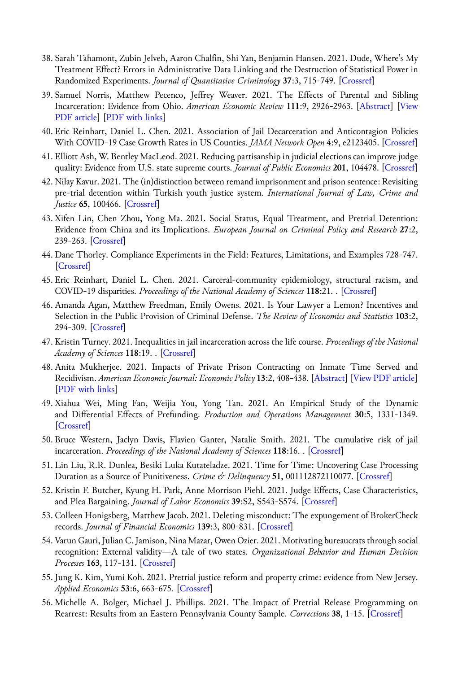- 38. Sarah Tahamont, Zubin Jelveh, Aaron Chalfin, Shi Yan, Benjamin Hansen. 2021. Dude, Where's My Treatment Effect? Errors in Administrative Data Linking and the Destruction of Statistical Power in Randomized Experiments. *Journal of Quantitative Criminology* **37**:3, 715-749. [[Crossref\]](https://doi.org/10.1007/s10940-020-09461-x)
- 39. Samuel Norris, Matthew Pecenco, Jeffrey Weaver. 2021. The Effects of Parental and Sibling Incarceration: Evidence from Ohio. *American Economic Review* **111**:9, 2926-2963. [[Abstract\]](https://doi.org/10.1257/aer.20190415) [\[View](http://pubs.aeaweb.org/doi/pdf/10.1257/aer.20190415) [PDF article\]](http://pubs.aeaweb.org/doi/pdf/10.1257/aer.20190415) [[PDF with links\]](http://pubs.aeaweb.org/doi/pdfplus/10.1257/aer.20190415)
- 40. Eric Reinhart, Daniel L. Chen. 2021. Association of Jail Decarceration and Anticontagion Policies With COVID-19 Case Growth Rates in US Counties. *JAMA Network Open* **4**:9, e2123405. [[Crossref\]](https://doi.org/10.1001/jamanetworkopen.2021.23405)
- 41. Elliott Ash, W. Bentley MacLeod. 2021. Reducing partisanship in judicial elections can improve judge quality: Evidence from U.S. state supreme courts. *Journal of Public Economics* **201**, 104478. [[Crossref\]](https://doi.org/10.1016/j.jpubeco.2021.104478)
- 42. Nilay Kavur. 2021. The (in)distinction between remand imprisonment and prison sentence: Revisiting pre-trial detention within Turkish youth justice system. *International Journal of Law, Crime and Justice* **65**, 100466. [[Crossref\]](https://doi.org/10.1016/j.ijlcj.2021.100466)
- 43. Xifen Lin, Chen Zhou, Yong Ma. 2021. Social Status, Equal Treatment, and Pretrial Detention: Evidence from China and its Implications. *European Journal on Criminal Policy and Research* **27**:2, 239-263. [\[Crossref\]](https://doi.org/10.1007/s10610-019-09421-7)
- 44.Dane Thorley. Compliance Experiments in the Field: Features, Limitations, and Examples 728-747. [\[Crossref](https://doi.org/10.1017/9781108759458.049)]
- 45. Eric Reinhart, Daniel L. Chen. 2021. Carceral-community epidemiology, structural racism, and COVID-19 disparities. *Proceedings of the National Academy of Sciences* **118**:21. . [[Crossref\]](https://doi.org/10.1073/pnas.2026577118)
- 46. Amanda Agan, Matthew Freedman, Emily Owens. 2021. Is Your Lawyer a Lemon? Incentives and Selection in the Public Provision of Criminal Defense. *The Review of Economics and Statistics* **103**:2, 294-309. [\[Crossref\]](https://doi.org/10.1162/rest_a_00891)
- 47. Kristin Turney. 2021. Inequalities in jail incarceration across the life course. *Proceedings of the National Academy of Sciences* **118**:19. . [\[Crossref](https://doi.org/10.1073/pnas.2104744118)]
- 48. Anita Mukherjee. 2021. Impacts of Private Prison Contracting on Inmate Time Served and Recidivism. *American Economic Journal: Economic Policy* **13**:2, 408-438. [\[Abstract](https://doi.org/10.1257/pol.20170474)] [\[View PDF article\]](http://pubs.aeaweb.org/doi/pdf/10.1257/pol.20170474) [\[PDF with links\]](http://pubs.aeaweb.org/doi/pdfplus/10.1257/pol.20170474)
- 49. Xiahua Wei, Ming Fan, Weijia You, Yong Tan. 2021. An Empirical Study of the Dynamic and Differential Effects of Prefunding. *Production and Operations Management* **30**:5, 1331-1349. [\[Crossref](https://doi.org/10.1111/poms.13324)]
- 50. Bruce Western, Jaclyn Davis, Flavien Ganter, Natalie Smith. 2021. The cumulative risk of jail incarceration. *Proceedings of the National Academy of Sciences* **118**:16. . [[Crossref\]](https://doi.org/10.1073/pnas.2023429118)
- 51. Lin Liu, R.R. Dunlea, Besiki Luka Kutateladze. 2021. Time for Time: Uncovering Case Processing Duration as a Source of Punitiveness. *Crime & Delinquency* **51**, 001112872110077. [[Crossref\]](https://doi.org/10.1177/00111287211007745)
- 52. Kristin F. Butcher, Kyung H. Park, Anne Morrison Piehl. 2021. Judge Effects, Case Characteristics, and Plea Bargaining. *Journal of Labor Economics* **39**:S2, S543-S574. [[Crossref\]](https://doi.org/10.1086/712981)
- 53. Colleen Honigsberg, Matthew Jacob. 2021. Deleting misconduct: The expungement of BrokerCheck records. *Journal of Financial Economics* **139**:3, 800-831. [\[Crossref](https://doi.org/10.1016/j.jfineco.2020.10.002)]
- 54. Varun Gauri, Julian C. Jamison, Nina Mazar, Owen Ozier. 2021. Motivating bureaucrats through social recognition: External validity—A tale of two states. *Organizational Behavior and Human Decision Processes* **163**, 117-131. [[Crossref\]](https://doi.org/10.1016/j.obhdp.2019.05.005)
- 55. Jung K. Kim, Yumi Koh. 2021. Pretrial justice reform and property crime: evidence from New Jersey. *Applied Economics* **53**:6, 663-675. [\[Crossref](https://doi.org/10.1080/00036846.2020.1808579)]
- 56. Michelle A. Bolger, Michael J. Phillips. 2021. The Impact of Pretrial Release Programming on Rearrest: Results from an Eastern Pennsylvania County Sample. *Corrections* **38**, 1-15. [\[Crossref](https://doi.org/10.1080/23774657.2021.1878071)]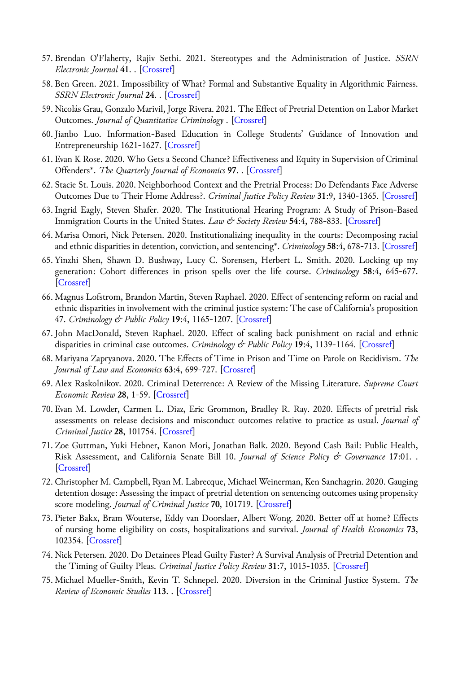- 57. Brendan O'Flaherty, Rajiv Sethi. 2021. Stereotypes and the Administration of Justice. *SSRN Electronic Journal* **41**. . [\[Crossref](https://doi.org/10.2139/ssrn.3808745)]
- 58. Ben Green. 2021. Impossibility of What? Formal and Substantive Equality in Algorithmic Fairness. *SSRN Electronic Journal* **24**. . [\[Crossref](https://doi.org/10.2139/ssrn.3883649)]
- 59. Nicolás Grau, Gonzalo Marivil, Jorge Rivera. 2021. The Effect of Pretrial Detention on Labor Market Outcomes. *Journal of Quantitative Criminology* . [[Crossref\]](https://doi.org/10.1007/s10940-021-09535-4)
- 60. Jianbo Luo. Information-Based Education in College Students' Guidance of Innovation and Entrepreneurship 1621-1627. [\[Crossref](https://doi.org/10.1007/978-981-16-0115-6_188)]
- 61. Evan K Rose. 2020. Who Gets a Second Chance? Effectiveness and Equity in Supervision of Criminal Offenders\*. *The Quarterly Journal of Economics* **97**. . [[Crossref\]](https://doi.org/10.1093/qje/qjaa046)
- 62. Stacie St. Louis. 2020. Neighborhood Context and the Pretrial Process: Do Defendants Face Adverse Outcomes Due to Their Home Address?. *Criminal Justice Policy Review* **31**:9, 1340-1365. [[Crossref\]](https://doi.org/10.1177/0887403419890124)
- 63. Ingrid Eagly, Steven Shafer. 2020. The Institutional Hearing Program: A Study of Prison‐Based Immigration Courts in the United States. *Law & Society Review* **54**:4, 788-833. [\[Crossref](https://doi.org/10.1111/lasr.12523)]
- 64. Marisa Omori, Nick Petersen. 2020. Institutionalizing inequality in the courts: Decomposing racial and ethnic disparities in detention, conviction, and sentencing\*. *Criminology* **58**:4, 678-713. [[Crossref\]](https://doi.org/10.1111/1745-9125.12257)
- 65. Yinzhi Shen, Shawn D. Bushway, Lucy C. Sorensen, Herbert L. Smith. 2020. Locking up my generation: Cohort differences in prison spells over the life course. *Criminology* **58**:4, 645-677. [\[Crossref](https://doi.org/10.1111/1745-9125.12256)]
- 66. Magnus Lofstrom, Brandon Martin, Steven Raphael. 2020. Effect of sentencing reform on racial and ethnic disparities in involvement with the criminal justice system: The case of California's proposition 47. *Criminology & Public Policy* **19**:4, 1165-1207. [[Crossref\]](https://doi.org/10.1111/1745-9133.12527)
- 67. John MacDonald, Steven Raphael. 2020. Effect of scaling back punishment on racial and ethnic disparities in criminal case outcomes. *Criminology & Public Policy* **19**:4, 1139-1164. [\[Crossref](https://doi.org/10.1111/1745-9133.12495)]
- 68. Mariyana Zapryanova. 2020. The Effects of Time in Prison and Time on Parole on Recidivism. *The Journal of Law and Economics* **63**:4, 699-727. [[Crossref\]](https://doi.org/10.1086/709585)
- 69. Alex Raskolnikov. 2020. Criminal Deterrence: A Review of the Missing Literature. *Supreme Court Economic Review* **28**, 1-59. [\[Crossref](https://doi.org/10.1086/710158)]
- 70. Evan M. Lowder, Carmen L. Diaz, Eric Grommon, Bradley R. Ray. 2020. Effects of pretrial risk assessments on release decisions and misconduct outcomes relative to practice as usual. *Journal of Criminal Justice* **28**, 101754. [[Crossref\]](https://doi.org/10.1016/j.jcrimjus.2020.101754)
- 71. Zoe Guttman, Yuki Hebner, Kanon Mori, Jonathan Balk. 2020. Beyond Cash Bail: Public Health, Risk Assessment, and California Senate Bill 10. *Journal of Science Policy & Governance* **17**:01. . [\[Crossref](https://doi.org/10.38126/JSPG170107)]
- 72. Christopher M. Campbell, Ryan M. Labrecque, Michael Weinerman, Ken Sanchagrin. 2020. Gauging detention dosage: Assessing the impact of pretrial detention on sentencing outcomes using propensity score modeling. *Journal of Criminal Justice* **70**, 101719. [\[Crossref](https://doi.org/10.1016/j.jcrimjus.2020.101719)]
- 73. Pieter Bakx, Bram Wouterse, Eddy van Doorslaer, Albert Wong. 2020. Better off at home? Effects of nursing home eligibility on costs, hospitalizations and survival. *Journal of Health Economics* **73**, 102354. [\[Crossref](https://doi.org/10.1016/j.jhealeco.2020.102354)]
- 74. Nick Petersen. 2020. Do Detainees Plead Guilty Faster? A Survival Analysis of Pretrial Detention and the Timing of Guilty Pleas. *Criminal Justice Policy Review* **31**:7, 1015-1035. [\[Crossref](https://doi.org/10.1177/0887403419838020)]
- 75. Michael Mueller-Smith, Kevin T. Schnepel. 2020. Diversion in the Criminal Justice System. *The Review of Economic Studies* **113**. . [[Crossref\]](https://doi.org/10.1093/restud/rdaa030)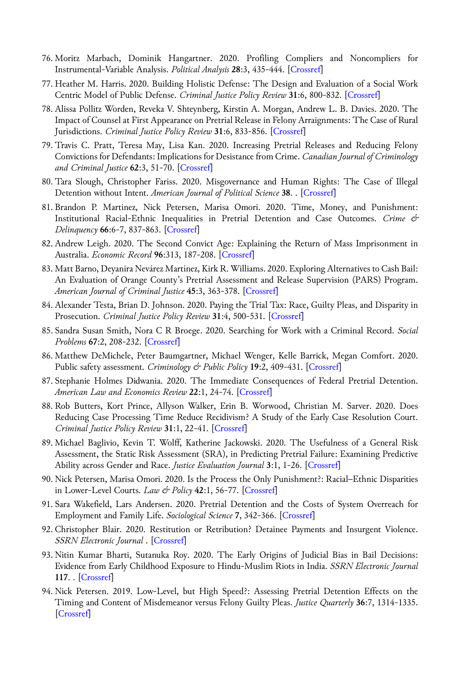- 76. Moritz Marbach, Dominik Hangartner. 2020. Profiling Compliers and Noncompliers for Instrumental-Variable Analysis. *Political Analysis* **28**:3, 435-444. [[Crossref\]](https://doi.org/10.1017/pan.2019.48)
- 77. Heather M. Harris. 2020. Building Holistic Defense: The Design and Evaluation of a Social Work Centric Model of Public Defense. *Criminal Justice Policy Review* **31**:6, 800-832. [[Crossref\]](https://doi.org/10.1177/0887403420916228)
- 78. Alissa Pollitz Worden, Reveka V. Shteynberg, Kirstin A. Morgan, Andrew L. B. Davies. 2020. The Impact of Counsel at First Appearance on Pretrial Release in Felony Arraignments: The Case of Rural Jurisdictions. *Criminal Justice Policy Review* **31**:6, 833-856. [\[Crossref](https://doi.org/10.1177/0887403419873018)]
- 79. Travis C. Pratt, Teresa May, Lisa Kan. 2020. Increasing Pretrial Releases and Reducing Felony Convictions for Defendants: Implications for Desistance from Crime. *Canadian Journal of Criminology and Criminal Justice* **62**:3, 51-70. [[Crossref\]](https://doi.org/10.3138/cjccj.2020-0005)
- 80. Tara Slough, Christopher Fariss. 2020. Misgovernance and Human Rights: The Case of Illegal Detention without Intent. *American Journal of Political Science* **38**. . [[Crossref\]](https://doi.org/10.1111/ajps.12529)
- 81. Brandon P. Martinez, Nick Petersen, Marisa Omori. 2020. Time, Money, and Punishment: Institutional Racial-Ethnic Inequalities in Pretrial Detention and Case Outcomes. *Crime & Delinquency* **66**:6-7, 837-863. [[Crossref\]](https://doi.org/10.1177/0011128719881600)
- 82. Andrew Leigh. 2020. The Second Convict Age: Explaining the Return of Mass Imprisonment in Australia. *Economic Record* **96**:313, 187-208. [\[Crossref](https://doi.org/10.1111/1475-4932.12536)]
- 83. Matt Barno, Deyanira Nevárez Martínez, Kirk R. Williams. 2020. Exploring Alternatives to Cash Bail: An Evaluation of Orange County's Pretrial Assessment and Release Supervision (PARS) Program. *American Journal of Criminal Justice* **45**:3, 363-378. [[Crossref\]](https://doi.org/10.1007/s12103-019-09506-3)
- 84. Alexander Testa, Brian D. Johnson. 2020. Paying the Trial Tax: Race, Guilty Pleas, and Disparity in Prosecution. *Criminal Justice Policy Review* **31**:4, 500-531. [\[Crossref](https://doi.org/10.1177/0887403419838025)]
- 85. Sandra Susan Smith, Nora C R Broege. 2020. Searching for Work with a Criminal Record. *Social Problems* **67**:2, 208-232. [[Crossref\]](https://doi.org/10.1093/socpro/spz009)
- 86. Matthew DeMichele, Peter Baumgartner, Michael Wenger, Kelle Barrick, Megan Comfort. 2020. Public safety assessment. *Criminology & Public Policy* **19**:2, 409-431. [\[Crossref](https://doi.org/10.1111/1745-9133.12481)]
- 87. Stephanie Holmes Didwania. 2020. The Immediate Consequences of Federal Pretrial Detention. *American Law and Economics Review* **22**:1, 24-74. [\[Crossref](https://doi.org/10.1093/aler/ahz012)]
- 88. Rob Butters, Kort Prince, Allyson Walker, Erin B. Worwood, Christian M. Sarver. 2020. Does Reducing Case Processing Time Reduce Recidivism? A Study of the Early Case Resolution Court. *Criminal Justice Policy Review* **31**:1, 22-41. [\[Crossref](https://doi.org/10.1177/0887403418789465)]
- 89. Michael Baglivio, Kevin T. Wolff, Katherine Jackowski. 2020. The Usefulness of a General Risk Assessment, the Static Risk Assessment (SRA), in Predicting Pretrial Failure: Examining Predictive Ability across Gender and Race. *Justice Evaluation Journal* **3**:1, 1-26. [\[Crossref](https://doi.org/10.1080/24751979.2019.1668242)]
- 90. Nick Petersen, Marisa Omori. 2020. Is the Process the Only Punishment?: Racial–Ethnic Disparities in Lower‐Level Courts. *Law & Policy* **42**:1, 56-77. [[Crossref\]](https://doi.org/10.1111/lapo.12140)
- 91. Sara Wakefield, Lars Andersen. 2020. Pretrial Detention and the Costs of System Overreach for Employment and Family Life. *Sociological Science* **7**, 342-366. [\[Crossref](https://doi.org/10.15195/v7.a14)]
- 92. Christopher Blair. 2020. Restitution or Retribution? Detainee Payments and Insurgent Violence. *SSRN Electronic Journal* . [[Crossref\]](https://doi.org/10.2139/ssrn.3613437)
- 93. Nitin Kumar Bharti, Sutanuka Roy. 2020. The Early Origins of Judicial Bias in Bail Decisions: Evidence from Early Childhood Exposure to Hindu-Muslim Riots in India. *SSRN Electronic Journal* **117**. . [[Crossref\]](https://doi.org/10.2139/ssrn.3764260)
- 94. Nick Petersen. 2019. Low-Level, but High Speed?: Assessing Pretrial Detention Effects on the Timing and Content of Misdemeanor versus Felony Guilty Pleas. *Justice Quarterly* **36**:7, 1314-1335. [\[Crossref](https://doi.org/10.1080/07418825.2019.1639791)]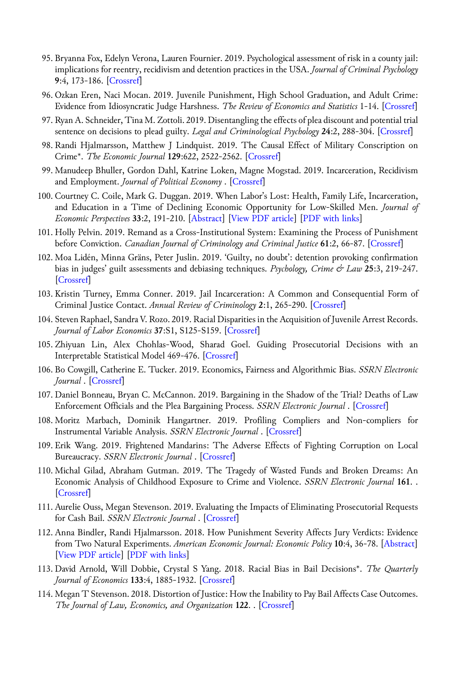- 95. Bryanna Fox, Edelyn Verona, Lauren Fournier. 2019. Psychological assessment of risk in a county jail: implications for reentry, recidivism and detention practices in the USA. *Journal of Criminal Psychology* **9**:4, 173-186. [[Crossref\]](https://doi.org/10.1108/JCP-11-2019-051)
- 96. Ozkan Eren, Naci Mocan. 2019. Juvenile Punishment, High School Graduation, and Adult Crime: Evidence from Idiosyncratic Judge Harshness. *The Review of Economics and Statistics* 1-14. [[Crossref\]](https://doi.org/10.1162/rest_a_00872)
- 97. Ryan A. Schneider, Tina M. Zottoli. 2019. Disentangling the effects of plea discount and potential trial sentence on decisions to plead guilty. *Legal and Criminological Psychology* **24**:2, 288-304. [[Crossref](https://doi.org/10.1111/lcrp.12157)]
- 98. Randi Hjalmarsson, Matthew J Lindquist. 2019. The Causal Effect of Military Conscription on Crime\*. *The Economic Journal* **129**:622, 2522-2562. [\[Crossref](https://doi.org/10.1093/ej/uez014)]
- 99. Manudeep Bhuller, Gordon Dahl, Katrine Loken, Magne Mogstad. 2019. Incarceration, Recidivism and Employment. *Journal of Political Economy* . [[Crossref\]](https://doi.org/10.1086/705330)
- 100. Courtney C. Coile, Mark G. Duggan. 2019. When Labor's Lost: Health, Family Life, Incarceration, and Education in a Time of Declining Economic Opportunity for Low-Skilled Men. *Journal of Economic Perspectives* **33**:2, 191-210. [[Abstract\]](https://doi.org/10.1257/jep.33.2.191) [\[View PDF article](http://pubs.aeaweb.org/doi/pdf/10.1257/jep.33.2.191)] [\[PDF with links\]](http://pubs.aeaweb.org/doi/pdfplus/10.1257/jep.33.2.191)
- 101. Holly Pelvin. 2019. Remand as a Cross-Institutional System: Examining the Process of Punishment before Conviction. *Canadian Journal of Criminology and Criminal Justice* **61**:2, 66-87. [[Crossref\]](https://doi.org/10.3138/cjccj.2018-0012.r2)
- 102. Moa Lidén, Minna Gräns, Peter Juslin. 2019. 'Guilty, no doubt': detention provoking confirmation bias in judges' guilt assessments and debiasing techniques. *Psychology, Crime & Law* **25**:3, 219-247. [\[Crossref](https://doi.org/10.1080/1068316X.2018.1511790)]
- 103. Kristin Turney, Emma Conner. 2019. Jail Incarceration: A Common and Consequential Form of Criminal Justice Contact. *Annual Review of Criminology* **2**:1, 265-290. [\[Crossref](https://doi.org/10.1146/annurev-criminol-011518-024601)]
- 104. Steven Raphael, Sandra V. Rozo. 2019. Racial Disparities in the Acquisition of Juvenile Arrest Records. *Journal of Labor Economics* **37**:S1, S125-S159. [\[Crossref](https://doi.org/10.1086/701068)]
- 105. Zhiyuan Lin, Alex Chohlas-Wood, Sharad Goel. Guiding Prosecutorial Decisions with an Interpretable Statistical Model 469-476. [[Crossref\]](https://doi.org/10.1145/3306618.3314235)
- 106. Bo Cowgill, Catherine E. Tucker. 2019. Economics, Fairness and Algorithmic Bias. *SSRN Electronic Journal* . [\[Crossref](https://doi.org/10.2139/ssrn.3361280)]
- 107.Daniel Bonneau, Bryan C. McCannon. 2019. Bargaining in the Shadow of the Trial? Deaths of Law Enforcement Officials and the Plea Bargaining Process. *SSRN Electronic Journal* . [[Crossref\]](https://doi.org/10.2139/ssrn.3457809)
- 108. Moritz Marbach, Dominik Hangartner. 2019. Profiling Compliers and Non-compliers for Instrumental Variable Analysis. *SSRN Electronic Journal* . [[Crossref\]](https://doi.org/10.2139/ssrn.3380247)
- 109. Erik Wang. 2019. Frightened Mandarins: The Adverse Effects of Fighting Corruption on Local Bureaucracy. *SSRN Electronic Journal* . [[Crossref\]](https://doi.org/10.2139/ssrn.3314508)
- 110. Michal Gilad, Abraham Gutman. 2019. The Tragedy of Wasted Funds and Broken Dreams: An Economic Analysis of Childhood Exposure to Crime and Violence. *SSRN Electronic Journal* **161**. . [\[Crossref](https://doi.org/10.2139/ssrn.3458626)]
- 111. Aurelie Ouss, Megan Stevenson. 2019. Evaluating the Impacts of Eliminating Prosecutorial Requests for Cash Bail. *SSRN Electronic Journal* . [[Crossref\]](https://doi.org/10.2139/ssrn.3335138)
- 112. Anna Bindler, Randi Hjalmarsson. 2018. How Punishment Severity Affects Jury Verdicts: Evidence from Two Natural Experiments. *American Economic Journal: Economic Policy* **10**:4, 36-78. [[Abstract\]](https://doi.org/10.1257/pol.20170214) [\[View PDF article](http://pubs.aeaweb.org/doi/pdf/10.1257/pol.20170214)] [\[PDF with links](http://pubs.aeaweb.org/doi/pdfplus/10.1257/pol.20170214)]
- 113.David Arnold, Will Dobbie, Crystal S Yang. 2018. Racial Bias in Bail Decisions\*. *The Quarterly Journal of Economics* **133**:4, 1885-1932. [\[Crossref](https://doi.org/10.1093/qje/qjy012)]
- 114. Megan T Stevenson. 2018. Distortion of Justice: How the Inability to Pay Bail Affects Case Outcomes. *The Journal of Law, Economics, and Organization* **122**. . [[Crossref\]](https://doi.org/10.1093/jleo/ewy019)